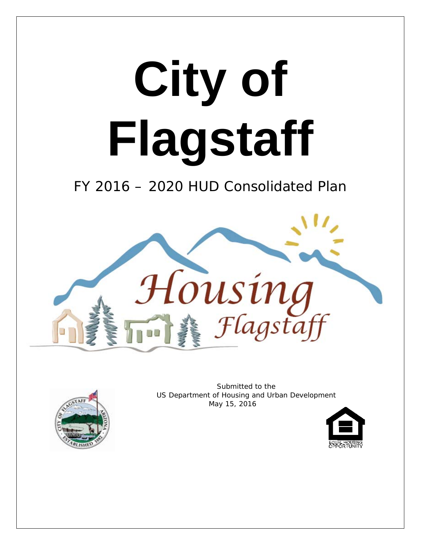



Submitted to the US Department of Housing and Urban Development May 15, 2016

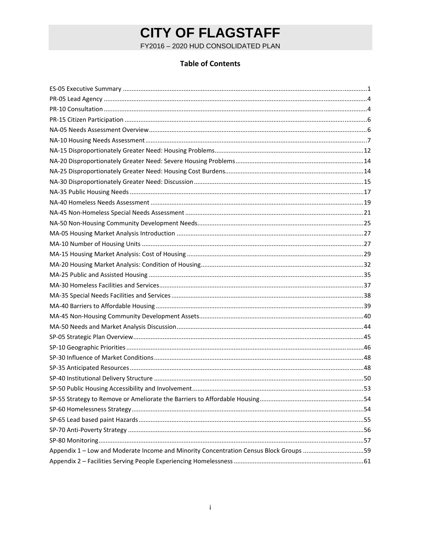FY2016 - 2020 HUD CONSOLIDATED PLAN

### **Table of Contents**

| Appendix 1 - Low and Moderate Income and Minority Concentration Census Block Groups 59 |  |
|----------------------------------------------------------------------------------------|--|
|                                                                                        |  |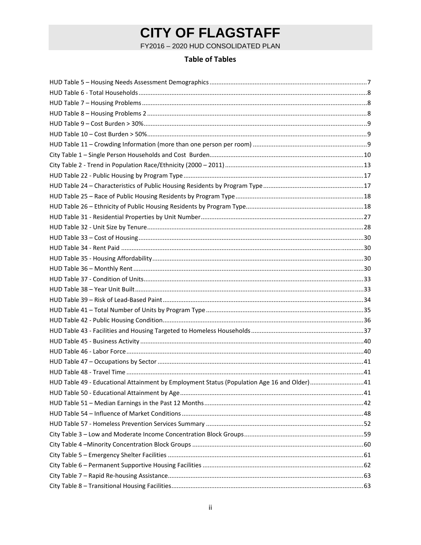FY2016 - 2020 HUD CONSOLIDATED PLAN

### **Table of Tables**

| HUD Table 49 - Educational Attainment by Employment Status (Population Age 16 and Older)41 |  |
|--------------------------------------------------------------------------------------------|--|
|                                                                                            |  |
|                                                                                            |  |
|                                                                                            |  |
|                                                                                            |  |
|                                                                                            |  |
|                                                                                            |  |
|                                                                                            |  |
|                                                                                            |  |
|                                                                                            |  |
|                                                                                            |  |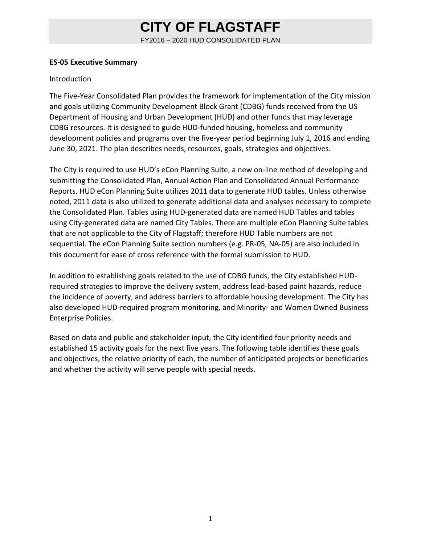FY2016 – 2020 HUD CONSOLIDATED PLAN

#### **ES‐05 Executive Summary**

#### Introduction

The Five‐Year Consolidated Plan provides the framework for implementation of the City mission and goals utilizing Community Development Block Grant (CDBG) funds received from the US Department of Housing and Urban Development (HUD) and other funds that may leverage CDBG resources. It is designed to guide HUD‐funded housing, homeless and community development policies and programs over the five-year period beginning July 1, 2016 and ending June 30, 2021. The plan describes needs, resources, goals, strategies and objectives.

The City is required to use HUD's eCon Planning Suite, a new on-line method of developing and submitting the Consolidated Plan, Annual Action Plan and Consolidated Annual Performance Reports. HUD eCon Planning Suite utilizes 2011 data to generate HUD tables. Unless otherwise noted, 2011 data is also utilized to generate additional data and analyses necessary to complete the Consolidated Plan. Tables using HUD‐generated data are named HUD Tables and tables using City‐generated data are named City Tables. There are multiple eCon Planning Suite tables that are not applicable to the City of Flagstaff; therefore HUD Table numbers are not sequential. The eCon Planning Suite section numbers (e.g. PR‐05, NA‐05) are also included in this document for ease of cross reference with the formal submission to HUD.

In addition to establishing goals related to the use of CDBG funds, the City established HUD‐ required strategies to improve the delivery system, address lead‐based paint hazards, reduce the incidence of poverty, and address barriers to affordable housing development. The City has also developed HUD‐required program monitoring, and Minority‐ and Women Owned Business Enterprise Policies.

Based on data and public and stakeholder input, the City identified four priority needs and established 15 activity goals for the next five years. The following table identifies these goals and objectives, the relative priority of each, the number of anticipated projects or beneficiaries and whether the activity will serve people with special needs.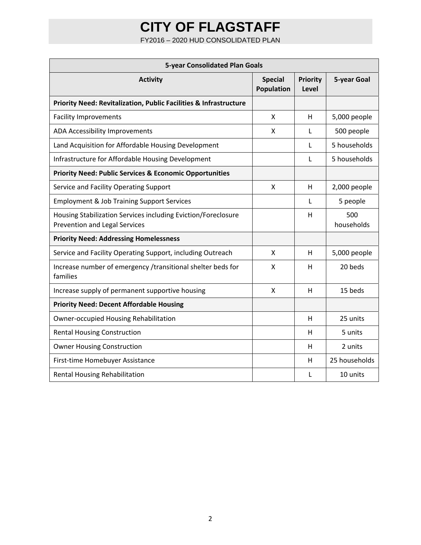FY2016 – 2020 HUD CONSOLIDATED PLAN

| <b>5-year Consolidated Plan Goals</b>                                                                 |                              |                          |                   |  |  |  |  |  |  |  |
|-------------------------------------------------------------------------------------------------------|------------------------------|--------------------------|-------------------|--|--|--|--|--|--|--|
| <b>Activity</b>                                                                                       | <b>Special</b><br>Population | <b>Priority</b><br>Level | 5-year Goal       |  |  |  |  |  |  |  |
| <b>Priority Need: Revitalization, Public Facilities &amp; Infrastructure</b>                          |                              |                          |                   |  |  |  |  |  |  |  |
| <b>Facility Improvements</b>                                                                          | X                            | н                        | 5,000 people      |  |  |  |  |  |  |  |
| ADA Accessibility Improvements                                                                        | x                            | L                        | 500 people        |  |  |  |  |  |  |  |
| Land Acquisition for Affordable Housing Development                                                   |                              | L                        | 5 households      |  |  |  |  |  |  |  |
| Infrastructure for Affordable Housing Development                                                     |                              | L                        | 5 households      |  |  |  |  |  |  |  |
| <b>Priority Need: Public Services &amp; Economic Opportunities</b>                                    |                              |                          |                   |  |  |  |  |  |  |  |
| Service and Facility Operating Support                                                                | X                            | H                        | 2,000 people      |  |  |  |  |  |  |  |
| <b>Employment &amp; Job Training Support Services</b>                                                 |                              | $\mathbf{I}$             | 5 people          |  |  |  |  |  |  |  |
| Housing Stabilization Services including Eviction/Foreclosure<br><b>Prevention and Legal Services</b> |                              | н                        | 500<br>households |  |  |  |  |  |  |  |
| <b>Priority Need: Addressing Homelessness</b>                                                         |                              |                          |                   |  |  |  |  |  |  |  |
| Service and Facility Operating Support, including Outreach                                            | X                            | н                        | 5,000 people      |  |  |  |  |  |  |  |
| Increase number of emergency /transitional shelter beds for<br>families                               | x                            | H                        | 20 beds           |  |  |  |  |  |  |  |
| Increase supply of permanent supportive housing                                                       | X                            | H                        | 15 beds           |  |  |  |  |  |  |  |
| <b>Priority Need: Decent Affordable Housing</b>                                                       |                              |                          |                   |  |  |  |  |  |  |  |
| <b>Owner-occupied Housing Rehabilitation</b>                                                          |                              | н                        | 25 units          |  |  |  |  |  |  |  |
| <b>Rental Housing Construction</b>                                                                    |                              | H                        | 5 units           |  |  |  |  |  |  |  |
| <b>Owner Housing Construction</b>                                                                     |                              | н                        | 2 units           |  |  |  |  |  |  |  |
| First-time Homebuyer Assistance                                                                       |                              | н                        | 25 households     |  |  |  |  |  |  |  |
| Rental Housing Rehabilitation                                                                         |                              | L                        | 10 units          |  |  |  |  |  |  |  |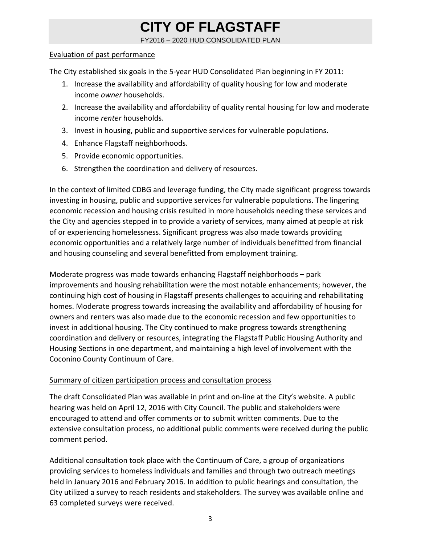FY2016 – 2020 HUD CONSOLIDATED PLAN

#### Evaluation of past performance

The City established six goals in the 5-year HUD Consolidated Plan beginning in FY 2011:

- 1. Increase the availability and affordability of quality housing for low and moderate income *owner* households.
- 2. Increase the availability and affordability of quality rental housing for low and moderate income *renter* households.
- 3. Invest in housing, public and supportive services for vulnerable populations.
- 4. Enhance Flagstaff neighborhoods.
- 5. Provide economic opportunities.
- 6. Strengthen the coordination and delivery of resources.

In the context of limited CDBG and leverage funding, the City made significant progress towards investing in housing, public and supportive services for vulnerable populations. The lingering economic recession and housing crisis resulted in more households needing these services and the City and agencies stepped in to provide a variety of services, many aimed at people at risk of or experiencing homelessness. Significant progress was also made towards providing economic opportunities and a relatively large number of individuals benefitted from financial and housing counseling and several benefitted from employment training.

Moderate progress was made towards enhancing Flagstaff neighborhoods – park improvements and housing rehabilitation were the most notable enhancements; however, the continuing high cost of housing in Flagstaff presents challenges to acquiring and rehabilitating homes. Moderate progress towards increasing the availability and affordability of housing for owners and renters was also made due to the economic recession and few opportunities to invest in additional housing. The City continued to make progress towards strengthening coordination and delivery or resources, integrating the Flagstaff Public Housing Authority and Housing Sections in one department, and maintaining a high level of involvement with the Coconino County Continuum of Care.

### Summary of citizen participation process and consultation process

The draft Consolidated Plan was available in print and on-line at the City's website. A public hearing was held on April 12, 2016 with City Council. The public and stakeholders were encouraged to attend and offer comments or to submit written comments. Due to the extensive consultation process, no additional public comments were received during the public comment period.

Additional consultation took place with the Continuum of Care, a group of organizations providing services to homeless individuals and families and through two outreach meetings held in January 2016 and February 2016. In addition to public hearings and consultation, the City utilized a survey to reach residents and stakeholders. The survey was available online and 63 completed surveys were received.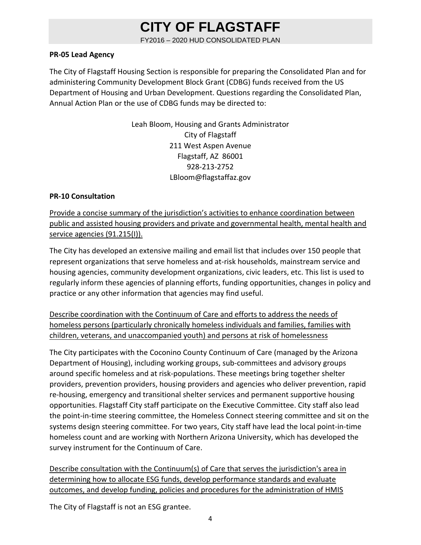FY2016 – 2020 HUD CONSOLIDATED PLAN

#### **PR‐05 Lead Agency**

The City of Flagstaff Housing Section is responsible for preparing the Consolidated Plan and for administering Community Development Block Grant (CDBG) funds received from the US Department of Housing and Urban Development. Questions regarding the Consolidated Plan, Annual Action Plan or the use of CDBG funds may be directed to:

> Leah Bloom, Housing and Grants Administrator City of Flagstaff 211 West Aspen Avenue Flagstaff, AZ 86001 928‐213‐2752 LBloom@flagstaffaz.gov

#### **PR‐10 Consultation**

Provide a concise summary of the jurisdiction's activities to enhance coordination between public and assisted housing providers and private and governmental health, mental health and service agencies (91.215(I)).

The City has developed an extensive mailing and email list that includes over 150 people that represent organizations that serve homeless and at-risk households, mainstream service and housing agencies, community development organizations, civic leaders, etc. This list is used to regularly inform these agencies of planning efforts, funding opportunities, changes in policy and practice or any other information that agencies may find useful.

Describe coordination with the Continuum of Care and efforts to address the needs of homeless persons (particularly chronically homeless individuals and families, families with children, veterans, and unaccompanied youth) and persons at risk of homelessness

The City participates with the Coconino County Continuum of Care (managed by the Arizona Department of Housing), including working groups, sub‐committees and advisory groups around specific homeless and at risk‐populations. These meetings bring together shelter providers, prevention providers, housing providers and agencies who deliver prevention, rapid re-housing, emergency and transitional shelter services and permanent supportive housing opportunities. Flagstaff City staff participate on the Executive Committee. City staff also lead the point‐in‐time steering committee, the Homeless Connect steering committee and sit on the systems design steering committee. For two years, City staff have lead the local point‐in‐time homeless count and are working with Northern Arizona University, which has developed the survey instrument for the Continuum of Care.

Describe consultation with the Continuum(s) of Care that serves the jurisdiction's area in determining how to allocate ESG funds, develop performance standards and evaluate outcomes, and develop funding, policies and procedures for the administration of HMIS

The City of Flagstaff is not an ESG grantee.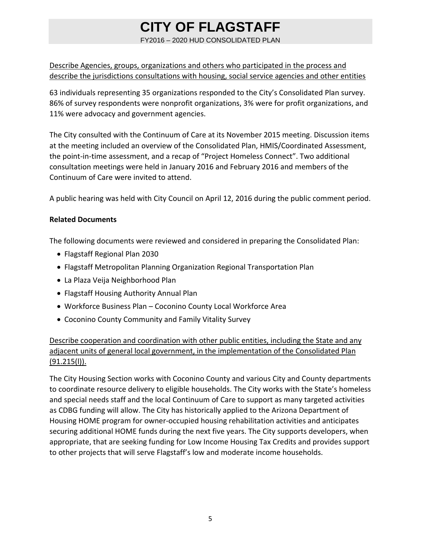FY2016 – 2020 HUD CONSOLIDATED PLAN

### Describe Agencies, groups, organizations and others who participated in the process and describe the jurisdictions consultations with housing, social service agencies and other entities

63 individuals representing 35 organizations responded to the City's Consolidated Plan survey. 86% of survey respondents were nonprofit organizations, 3% were for profit organizations, and 11% were advocacy and government agencies.

The City consulted with the Continuum of Care at its November 2015 meeting. Discussion items at the meeting included an overview of the Consolidated Plan, HMIS/Coordinated Assessment, the point‐in‐time assessment, and a recap of "Project Homeless Connect". Two additional consultation meetings were held in January 2016 and February 2016 and members of the Continuum of Care were invited to attend.

A public hearing was held with City Council on April 12, 2016 during the public comment period.

### **Related Documents**

The following documents were reviewed and considered in preparing the Consolidated Plan:

- Flagstaff Regional Plan 2030
- Flagstaff Metropolitan Planning Organization Regional Transportation Plan
- La Plaza Veija Neighborhood Plan
- Flagstaff Housing Authority Annual Plan
- Workforce Business Plan Coconino County Local Workforce Area
- Coconino County Community and Family Vitality Survey

### Describe cooperation and coordination with other public entities, including the State and any adjacent units of general local government, in the implementation of the Consolidated Plan  $(91.215(l))$ .

The City Housing Section works with Coconino County and various City and County departments to coordinate resource delivery to eligible households. The City works with the State's homeless and special needs staff and the local Continuum of Care to support as many targeted activities as CDBG funding will allow. The City has historically applied to the Arizona Department of Housing HOME program for owner‐occupied housing rehabilitation activities and anticipates securing additional HOME funds during the next five years. The City supports developers, when appropriate, that are seeking funding for Low Income Housing Tax Credits and provides support to other projects that will serve Flagstaff's low and moderate income households.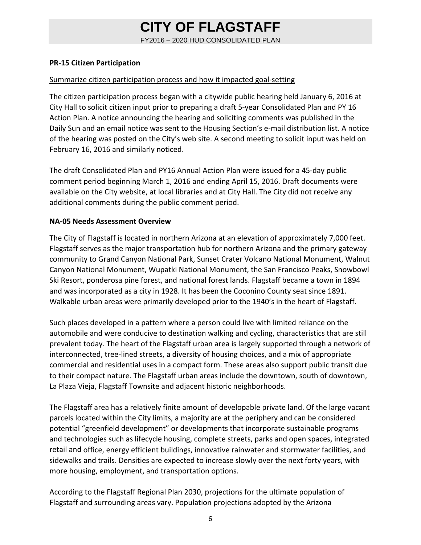FY2016 – 2020 HUD CONSOLIDATED PLAN

#### **PR‐15 Citizen Participation**

#### Summarize citizen participation process and how it impacted goal‐setting

The citizen participation process began with a citywide public hearing held January 6, 2016 at City Hall to solicit citizen input prior to preparing a draft 5‐year Consolidated Plan and PY 16 Action Plan. A notice announcing the hearing and soliciting comments was published in the Daily Sun and an email notice was sent to the Housing Section's e-mail distribution list. A notice of the hearing was posted on the City's web site. A second meeting to solicit input was held on February 16, 2016 and similarly noticed.

The draft Consolidated Plan and PY16 Annual Action Plan were issued for a 45‐day public comment period beginning March 1, 2016 and ending April 15, 2016. Draft documents were available on the City website, at local libraries and at City Hall. The City did not receive any additional comments during the public comment period.

#### **NA‐05 Needs Assessment Overview**

The City of Flagstaff is located in northern Arizona at an elevation of approximately 7,000 feet. Flagstaff serves as the major transportation hub for northern Arizona and the primary gateway community to Grand Canyon National Park, Sunset Crater Volcano National Monument, Walnut Canyon National Monument, Wupatki National Monument, the San Francisco Peaks, Snowbowl Ski Resort, ponderosa pine forest, and national forest lands. Flagstaff became a town in 1894 and was incorporated as a city in 1928. It has been the Coconino County seat since 1891. Walkable urban areas were primarily developed prior to the 1940's in the heart of Flagstaff.

Such places developed in a pattern where a person could live with limited reliance on the automobile and were conducive to destination walking and cycling, characteristics that are still prevalent today. The heart of the Flagstaff urban area is largely supported through a network of interconnected, tree‐lined streets, a diversity of housing choices, and a mix of appropriate commercial and residential uses in a compact form. These areas also support public transit due to their compact nature. The Flagstaff urban areas include the downtown, south of downtown, La Plaza Vieja, Flagstaff Townsite and adjacent historic neighborhoods.

The Flagstaff area has a relatively finite amount of developable private land. Of the large vacant parcels located within the City limits, a majority are at the periphery and can be considered potential "greenfield development" or developments that incorporate sustainable programs and technologies such as lifecycle housing, complete streets, parks and open spaces, integrated retail and office, energy efficient buildings, innovative rainwater and stormwater facilities, and sidewalks and trails. Densities are expected to increase slowly over the next forty years, with more housing, employment, and transportation options.

According to the Flagstaff Regional Plan 2030, projections for the ultimate population of Flagstaff and surrounding areas vary. Population projections adopted by the Arizona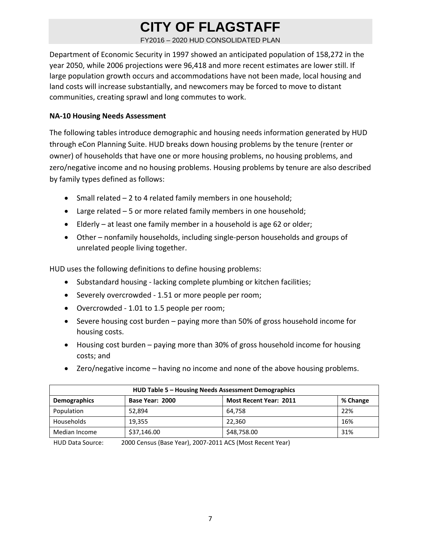FY2016 – 2020 HUD CONSOLIDATED PLAN

Department of Economic Security in 1997 showed an anticipated population of 158,272 in the year 2050, while 2006 projections were 96,418 and more recent estimates are lower still. If large population growth occurs and accommodations have not been made, local housing and land costs will increase substantially, and newcomers may be forced to move to distant communities, creating sprawl and long commutes to work.

#### **NA‐10 Housing Needs Assessment**

The following tables introduce demographic and housing needs information generated by HUD through eCon Planning Suite. HUD breaks down housing problems by the tenure (renter or owner) of households that have one or more housing problems, no housing problems, and zero/negative income and no housing problems. Housing problems by tenure are also described by family types defined as follows:

- Small related 2 to 4 related family members in one household;
- Large related 5 or more related family members in one household;
- Elderly at least one family member in a household is age 62 or older;
- Other nonfamily households, including single‐person households and groups of unrelated people living together.

HUD uses the following definitions to define housing problems:

- Substandard housing lacking complete plumbing or kitchen facilities;
- Severely overcrowded 1.51 or more people per room;
- Overcrowded 1.01 to 1.5 people per room;
- Severe housing cost burden paying more than 50% of gross household income for housing costs.
- Housing cost burden paying more than 30% of gross household income for housing costs; and
- Zero/negative income having no income and none of the above housing problems.

| HUD Table 5 - Housing Needs Assessment Demographics                                 |             |             |     |  |  |  |  |  |  |
|-------------------------------------------------------------------------------------|-------------|-------------|-----|--|--|--|--|--|--|
| <b>Demographics</b><br><b>Most Recent Year: 2011</b><br>% Change<br>Base Year: 2000 |             |             |     |  |  |  |  |  |  |
| Population                                                                          | 52.894      | 64.758      | 22% |  |  |  |  |  |  |
| Households                                                                          | 19.355      | 22.360      | 16% |  |  |  |  |  |  |
| Median Income                                                                       | \$37,146.00 | \$48,758.00 | 31% |  |  |  |  |  |  |

HUD Data Source: 2000 Census (Base Year), 2007‐2011 ACS (Most Recent Year)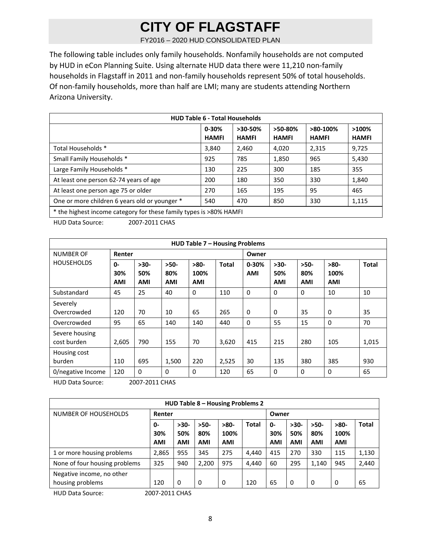FY2016 – 2020 HUD CONSOLIDATED PLAN

The following table includes only family households. Nonfamily households are not computed by HUD in eCon Planning Suite. Using alternate HUD data there were 11,210 non‐family households in Flagstaff in 2011 and non‐family households represent 50% of total households. Of non‐family households, more than half are LMI; many are students attending Northern Arizona University.

| <b>HUD Table 6 - Total Households</b>                              |                                                  |              |              |              |              |  |  |  |  |  |
|--------------------------------------------------------------------|--------------------------------------------------|--------------|--------------|--------------|--------------|--|--|--|--|--|
|                                                                    | >50-80%<br>$0 - 30%$<br>$>30-50%$<br>$>80-100\%$ |              |              |              |              |  |  |  |  |  |
|                                                                    | <b>HAMFI</b>                                     | <b>HAMFI</b> | <b>HAMFI</b> | <b>HAMFI</b> | <b>HAMFI</b> |  |  |  |  |  |
| Total Households *                                                 | 3,840                                            | 2,460        | 4,020        | 2,315        | 9,725        |  |  |  |  |  |
| Small Family Households *                                          | 925                                              | 785          | 1,850        | 965          | 5,430        |  |  |  |  |  |
| Large Family Households *                                          | 130                                              | 225          | 300          | 185          | 355          |  |  |  |  |  |
| At least one person 62-74 years of age                             | 200                                              | 180          | 350          | 330          | 1,840        |  |  |  |  |  |
| At least one person age 75 or older                                | 270                                              | 165          | 195          | 95           | 465          |  |  |  |  |  |
| One or more children 6 years old or younger *                      | 540                                              | 470          | 850          | 330          | 1,115        |  |  |  |  |  |
| * the highest income category for these family types is >80% HAMEL |                                                  |              |              |              |              |  |  |  |  |  |

tamily types is >80% HAMFI

HUD Data Source: 2007‐2011 CHAS

| <b>HUD Table 7 - Housing Problems</b> |                            |                             |                             |                              |              |                         |                             |                             |                              |              |
|---------------------------------------|----------------------------|-----------------------------|-----------------------------|------------------------------|--------------|-------------------------|-----------------------------|-----------------------------|------------------------------|--------------|
| <b>NUMBER OF</b>                      | Renter                     |                             |                             |                              |              | Owner                   |                             |                             |                              |              |
| <b>HOUSEHOLDS</b>                     | $0 -$<br>30%<br><b>AMI</b> | $>30-$<br>50%<br><b>AMI</b> | $>50-$<br>80%<br><b>AMI</b> | $>80-$<br>100%<br><b>AMI</b> | <b>Total</b> | $0 - 30%$<br><b>AMI</b> | $>30-$<br>50%<br><b>AMI</b> | $>50-$<br>80%<br><b>AMI</b> | $>80-$<br>100%<br><b>AMI</b> | <b>Total</b> |
| Substandard                           | 45                         | 25                          | 40                          | 0                            | 110          | $\mathbf 0$             | 0                           | 0                           | 10                           | 10           |
| Severely<br>Overcrowded               | 120                        | 70                          | 10                          | 65                           | 265          | 0                       | 0                           | 35                          | 0                            | 35           |
| Overcrowded                           | 95                         | 65                          | 140                         | 140                          | 440          | $\Omega$                | 55                          | 15                          | $\Omega$                     | 70           |
| Severe housing<br>cost burden         | 2,605                      | 790                         | 155                         | 70                           | 3,620        | 415                     | 215                         | 280                         | 105                          | 1,015        |
| Housing cost<br>burden                | 110                        | 695                         | 1,500                       | 220                          | 2,525        | 30                      | 135                         | 380                         | 385                          | 930          |
| 0/negative Income                     | 120                        | $\mathbf 0$                 | 0                           | 0                            | 120          | 65                      | 0                           | $\mathbf{0}$                | $\Omega$                     | 65           |

HUD Data Source: 2007‐2011 CHAS

| HUD Table 8 - Housing Problems 2 |                  |               |               |                |              |            |               |               |                |              |
|----------------------------------|------------------|---------------|---------------|----------------|--------------|------------|---------------|---------------|----------------|--------------|
| NUMBER OF HOUSEHOLDS             | Renter           |               |               |                |              | Owner      |               |               |                |              |
|                                  | 0-<br>30%        | $>30-$<br>50% | $>50-$<br>80% | $>80-$<br>100% | <b>Total</b> | 0-<br>30%  | $>30-$<br>50% | $>50-$<br>80% | $>80-$<br>100% | <b>Total</b> |
|                                  | <b>AMI</b>       | <b>AMI</b>    | <b>AMI</b>    | <b>AMI</b>     |              | <b>AMI</b> | <b>AMI</b>    | <b>AMI</b>    | <b>AMI</b>     |              |
| 1 or more housing problems       | 2,865            | 955           | 345           | 275            | 4,440        | 415        | 270           | 330           | 115            | 1,130        |
| None of four housing problems    | 325              | 940           | 2,200         | 975            | 4,440        | 60         | 295           | 1,140         | 945            | 2,440        |
| Negative income, no other        |                  |               |               |                |              |            |               |               |                |              |
| housing problems                 | 120              | 0             | 0             | 0              | 120          | 65         | 0             | 0             | 0              | 65           |
| <b>ULID Data Courset</b>         | COMMO POLAR CONC |               |               |                |              |            |               |               |                |              |

HUD Data Source: 2007‐2011 CHAS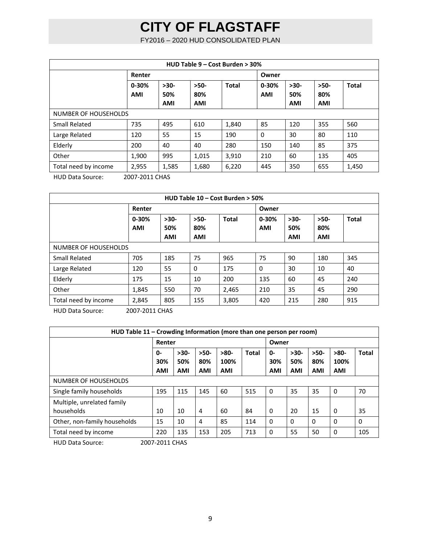FY2016 – 2020 HUD CONSOLIDATED PLAN

| HUD Table 9 - Cost Burden > 30% |                                                         |            |            |              |            |            |            |              |  |
|---------------------------------|---------------------------------------------------------|------------|------------|--------------|------------|------------|------------|--------------|--|
|                                 | Renter                                                  |            |            |              | Owner      |            |            |              |  |
|                                 | $0 - 30%$                                               | $>30-$     | $>50-$     | <b>Total</b> | $0 - 30%$  | $>30-$     | $>50-$     | <b>Total</b> |  |
|                                 | <b>AMI</b>                                              | 50%        | 80%        |              | <b>AMI</b> | 50%        | 80%        |              |  |
|                                 |                                                         | <b>AMI</b> | <b>AMI</b> |              |            | <b>AMI</b> | <b>AMI</b> |              |  |
| NUMBER OF HOUSEHOLDS            |                                                         |            |            |              |            |            |            |              |  |
| Small Related                   | 735                                                     | 495        | 610        | 1,840        | 85         | 120        | 355        | 560          |  |
| Large Related                   | 120                                                     | 55         | 15         | 190          | $\Omega$   | 30         | 80         | 110          |  |
| Elderly                         | 200                                                     | 40         | 40         | 280          | 150        | 140        | 85         | 375          |  |
| Other                           | 1,900                                                   | 995        | 1,015      | 3,910        | 210        | 60         | 135        | 405          |  |
| Total need by income            | 2,955                                                   | 1,585      | 1,680      | 6,220        | 445        | 350        | 655        | 1,450        |  |
| $\cdots$                        | $\sim$ $\sim$ $\sim$ $\sim$ $\sim$ $\sim$ $\sim$ $\sim$ |            |            |              |            |            |            |              |  |

HUD Data Source: 2007‐2011 CHAS

| HUD Table 10 - Cost Burden > 50% |                |            |            |              |            |            |            |              |  |
|----------------------------------|----------------|------------|------------|--------------|------------|------------|------------|--------------|--|
|                                  | Renter         |            |            |              | Owner      |            |            |              |  |
|                                  | $0 - 30%$      | $>30-$     | $>50-$     | <b>Total</b> | $0 - 30%$  | $>30-$     | $>50-$     | <b>Total</b> |  |
|                                  | <b>AMI</b>     | 50%        | 80%        |              | <b>AMI</b> | 50%        | 80%        |              |  |
|                                  |                | <b>AMI</b> | <b>AMI</b> |              |            | <b>AMI</b> | <b>AMI</b> |              |  |
| NUMBER OF HOUSEHOLDS             |                |            |            |              |            |            |            |              |  |
| <b>Small Related</b>             | 705            | 185        | 75         | 965          | 75         | 90         | 180        | 345          |  |
| Large Related                    | 120            | 55         | $\Omega$   | 175          | $\Omega$   | 30         | 10         | 40           |  |
| Elderly                          | 175            | 15         | 10         | 200          | 135        | 60         | 45         | 240          |  |
| Other                            | 1,845          | 550        | 70         | 2,465        | 210        | 35         | 45         | 290          |  |
| Total need by income             | 2,845          | 805        | 155        | 3,805        | 420        | 215        | 280        | 915          |  |
| <b>HUD Data Source:</b>          | 2007-2011 CHAS |            |            |              |            |            |            |              |  |

**HUD Table 11 – Crowding Information (more than one person per room) Renter Owner 0‐ 30% AMI >30‐ 50% AMI >50‐ 80% AMI >80‐ 100% AMI Total 0‐ 30% AMI >30‐ 50% AMI >50‐ 80% AMI >80‐ 100% AMI Total** NUMBER OF HOUSEHOLDS Single family households 195 115 145 60 515 0 35 35 0 70 Multiple, unrelated family households 10 10 4 60 84 0 20 15 0 35 Other, non-family households | 15 | 10 | 4 | 85 | 114 | 0 | 0 | 0 | 0 | 0 | 0 Total need by income 220 135 153 205 713 0 55 50 0 105 HUD Data Source: 2007‐2011 CHAS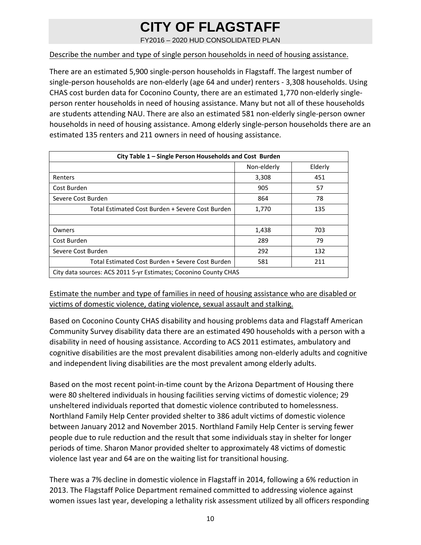FY2016 – 2020 HUD CONSOLIDATED PLAN

#### Describe the number and type of single person households in need of housing assistance.

There are an estimated 5,900 single‐person households in Flagstaff. The largest number of single‐person households are non‐elderly (age 64 and under) renters ‐ 3,308 households. Using CHAS cost burden data for Coconino County, there are an estimated 1,770 non‐elderly single‐ person renter households in need of housing assistance. Many but not all of these households are students attending NAU. There are also an estimated 581 non‐elderly single‐person owner households in need of housing assistance. Among elderly single‐person households there are an estimated 135 renters and 211 owners in need of housing assistance.

| City Table 1 - Single Person Households and Cost Burden |                                                                  |         |  |  |  |  |  |  |
|---------------------------------------------------------|------------------------------------------------------------------|---------|--|--|--|--|--|--|
|                                                         | Non-elderly                                                      | Elderly |  |  |  |  |  |  |
| Renters                                                 | 3,308                                                            | 451     |  |  |  |  |  |  |
| Cost Burden                                             | 905                                                              | 57      |  |  |  |  |  |  |
| Severe Cost Burden                                      | 864                                                              | 78      |  |  |  |  |  |  |
| Total Estimated Cost Burden + Severe Cost Burden        | 1,770                                                            | 135     |  |  |  |  |  |  |
|                                                         |                                                                  |         |  |  |  |  |  |  |
| Owners                                                  | 1,438                                                            | 703     |  |  |  |  |  |  |
| Cost Burden                                             | 289                                                              | 79      |  |  |  |  |  |  |
| Severe Cost Burden                                      | 292                                                              | 132     |  |  |  |  |  |  |
| Total Estimated Cost Burden + Severe Cost Burden        | 581                                                              | 211     |  |  |  |  |  |  |
|                                                         | City data sources: ACS 2011 5-yr Estimates; Coconino County CHAS |         |  |  |  |  |  |  |

Estimate the number and type of families in need of housing assistance who are disabled or victims of domestic violence, dating violence, sexual assault and stalking.

Based on Coconino County CHAS disability and housing problems data and Flagstaff American Community Survey disability data there are an estimated 490 households with a person with a disability in need of housing assistance. According to ACS 2011 estimates, ambulatory and cognitive disabilities are the most prevalent disabilities among non‐elderly adults and cognitive and independent living disabilities are the most prevalent among elderly adults.

Based on the most recent point‐in‐time count by the Arizona Department of Housing there were 80 sheltered individuals in housing facilities serving victims of domestic violence; 29 unsheltered individuals reported that domestic violence contributed to homelessness. Northland Family Help Center provided shelter to 386 adult victims of domestic violence between January 2012 and November 2015. Northland Family Help Center is serving fewer people due to rule reduction and the result that some individuals stay in shelter for longer periods of time. Sharon Manor provided shelter to approximately 48 victims of domestic violence last year and 64 are on the waiting list for transitional housing.

There was a 7% decline in domestic violence in Flagstaff in 2014, following a 6% reduction in 2013. The Flagstaff Police Department remained committed to addressing violence against women issues last year, developing a lethality risk assessment utilized by all officers responding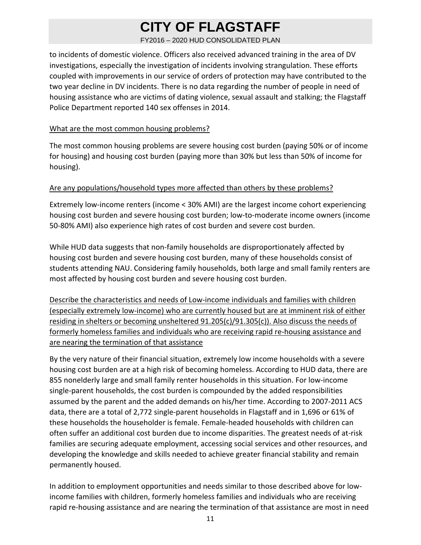FY2016 – 2020 HUD CONSOLIDATED PLAN

to incidents of domestic violence. Officers also received advanced training in the area of DV investigations, especially the investigation of incidents involving strangulation. These efforts coupled with improvements in our service of orders of protection may have contributed to the two year decline in DV incidents. There is no data regarding the number of people in need of housing assistance who are victims of dating violence, sexual assault and stalking; the Flagstaff Police Department reported 140 sex offenses in 2014.

### What are the most common housing problems?

The most common housing problems are severe housing cost burden (paying 50% or of income for housing) and housing cost burden (paying more than 30% but less than 50% of income for housing).

### Are any populations/household types more affected than others by these problems?

Extremely low‐income renters (income < 30% AMI) are the largest income cohort experiencing housing cost burden and severe housing cost burden; low‐to‐moderate income owners (income 50‐80% AMI) also experience high rates of cost burden and severe cost burden.

While HUD data suggests that non-family households are disproportionately affected by housing cost burden and severe housing cost burden, many of these households consist of students attending NAU. Considering family households, both large and small family renters are most affected by housing cost burden and severe housing cost burden.

Describe the characteristics and needs of Low‐income individuals and families with children (especially extremely low‐income) who are currently housed but are at imminent risk of either residing in shelters or becoming unsheltered 91.205(c)/91.305(c)). Also discuss the needs of formerly homeless families and individuals who are receiving rapid re‐housing assistance and are nearing the termination of that assistance

By the very nature of their financial situation, extremely low income households with a severe housing cost burden are at a high risk of becoming homeless. According to HUD data, there are 855 nonelderly large and small family renter households in this situation. For low‐income single‐parent households, the cost burden is compounded by the added responsibilities assumed by the parent and the added demands on his/her time. According to 2007‐2011 ACS data, there are a total of 2,772 single‐parent households in Flagstaff and in 1,696 or 61% of these households the householder is female. Female‐headed households with children can often suffer an additional cost burden due to income disparities. The greatest needs of at‐risk families are securing adequate employment, accessing social services and other resources, and developing the knowledge and skills needed to achieve greater financial stability and remain permanently housed.

In addition to employment opportunities and needs similar to those described above for low‐ income families with children, formerly homeless families and individuals who are receiving rapid re-housing assistance and are nearing the termination of that assistance are most in need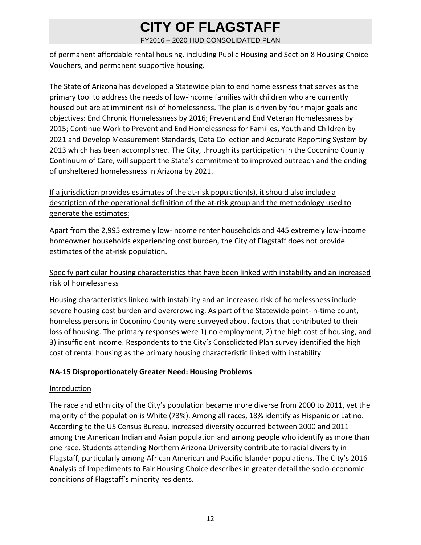FY2016 – 2020 HUD CONSOLIDATED PLAN

of permanent affordable rental housing, including Public Housing and Section 8 Housing Choice Vouchers, and permanent supportive housing.

The State of Arizona has developed a Statewide plan to end homelessness that serves as the primary tool to address the needs of low‐income families with children who are currently housed but are at imminent risk of homelessness. The plan is driven by four major goals and objectives: End Chronic Homelessness by 2016; Prevent and End Veteran Homelessness by 2015; Continue Work to Prevent and End Homelessness for Families, Youth and Children by 2021 and Develop Measurement Standards, Data Collection and Accurate Reporting System by 2013 which has been accomplished. The City, through its participation in the Coconino County Continuum of Care, will support the State's commitment to improved outreach and the ending of unsheltered homelessness in Arizona by 2021.

If a jurisdiction provides estimates of the at-risk population(s), it should also include a description of the operational definition of the at-risk group and the methodology used to generate the estimates:

Apart from the 2,995 extremely low‐income renter households and 445 extremely low‐income homeowner households experiencing cost burden, the City of Flagstaff does not provide estimates of the at‐risk population.

### Specify particular housing characteristics that have been linked with instability and an increased risk of homelessness

Housing characteristics linked with instability and an increased risk of homelessness include severe housing cost burden and overcrowding. As part of the Statewide point‐in‐time count, homeless persons in Coconino County were surveyed about factors that contributed to their loss of housing. The primary responses were 1) no employment, 2) the high cost of housing, and 3) insufficient income. Respondents to the City's Consolidated Plan survey identified the high cost of rental housing as the primary housing characteristic linked with instability.

### **NA‐15 Disproportionately Greater Need: Housing Problems**

### **Introduction**

The race and ethnicity of the City's population became more diverse from 2000 to 2011, yet the majority of the population is White (73%). Among all races, 18% identify as Hispanic or Latino. According to the US Census Bureau, increased diversity occurred between 2000 and 2011 among the American Indian and Asian population and among people who identify as more than one race. Students attending Northern Arizona University contribute to racial diversity in Flagstaff, particularly among African American and Pacific Islander populations. The City's 2016 Analysis of Impediments to Fair Housing Choice describes in greater detail the socio‐economic conditions of Flagstaff's minority residents.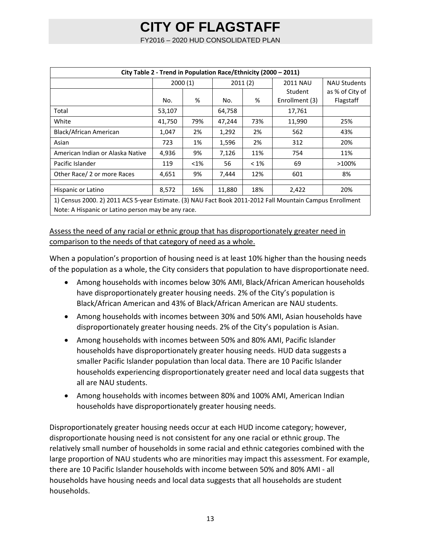FY2016 – 2020 HUD CONSOLIDATED PLAN

| City Table 2 - Trend in Population Race/Ethnicity (2000 - 2011) |                                                                                                          |         |        |         |                 |                     |  |  |  |  |
|-----------------------------------------------------------------|----------------------------------------------------------------------------------------------------------|---------|--------|---------|-----------------|---------------------|--|--|--|--|
|                                                                 |                                                                                                          | 2000(1) |        | 2011(2) | <b>2011 NAU</b> | <b>NAU Students</b> |  |  |  |  |
|                                                                 |                                                                                                          |         |        |         | Student         | as % of City of     |  |  |  |  |
|                                                                 | No.                                                                                                      | %       | No.    | %       | Enrollment (3)  | Flagstaff           |  |  |  |  |
| Total                                                           | 53,107                                                                                                   |         | 64,758 |         | 17,761          |                     |  |  |  |  |
| White                                                           | 41,750                                                                                                   | 79%     | 47,244 | 73%     | 11,990          | 25%                 |  |  |  |  |
| Black/African American                                          | 1,047                                                                                                    | 2%      | 1,292  | 2%      | 562             | 43%                 |  |  |  |  |
| Asian                                                           | 723                                                                                                      | 1%      | 1,596  | 2%      | 312             | 20%                 |  |  |  |  |
| American Indian or Alaska Native                                | 4,936                                                                                                    | 9%      | 7,126  | 11%     | 754             | 11%                 |  |  |  |  |
| Pacific Islander                                                | 119                                                                                                      | $< 1\%$ | 56     | $< 1\%$ | 69              | >100%               |  |  |  |  |
| Other Race/ 2 or more Races                                     | 4,651                                                                                                    | 9%      | 7,444  | 12%     | 601             | 8%                  |  |  |  |  |
| Hispanic or Latino                                              | 8,572                                                                                                    | 16%     | 11,880 | 18%     | 2,422           | 20%                 |  |  |  |  |
|                                                                 | 1) Census 2000. 2) 2011 ACS 5-year Estimate. (3) NAU Fact Book 2011-2012 Fall Mountain Campus Enrollment |         |        |         |                 |                     |  |  |  |  |
| Note: A Hispanic or Latino person may be any race.              |                                                                                                          |         |        |         |                 |                     |  |  |  |  |

Assess the need of any racial or ethnic group that has disproportionately greater need in comparison to the needs of that category of need as a whole.

When a population's proportion of housing need is at least 10% higher than the housing needs of the population as a whole, the City considers that population to have disproportionate need.

- Among households with incomes below 30% AMI, Black/African American households have disproportionately greater housing needs. 2% of the City's population is Black/African American and 43% of Black/African American are NAU students.
- Among households with incomes between 30% and 50% AMI, Asian households have disproportionately greater housing needs. 2% of the City's population is Asian.
- Among households with incomes between 50% and 80% AMI, Pacific Islander households have disproportionately greater housing needs. HUD data suggests a smaller Pacific Islander population than local data. There are 10 Pacific Islander households experiencing disproportionately greater need and local data suggests that all are NAU students.
- Among households with incomes between 80% and 100% AMI, American Indian households have disproportionately greater housing needs.

Disproportionately greater housing needs occur at each HUD income category; however, disproportionate housing need is not consistent for any one racial or ethnic group. The relatively small number of households in some racial and ethnic categories combined with the large proportion of NAU students who are minorities may impact this assessment. For example, there are 10 Pacific Islander households with income between 50% and 80% AMI ‐ all households have housing needs and local data suggests that all households are student households.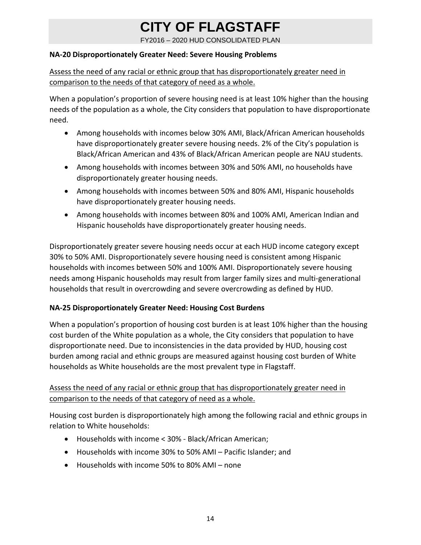FY2016 – 2020 HUD CONSOLIDATED PLAN

#### **NA‐20 Disproportionately Greater Need: Severe Housing Problems**

Assess the need of any racial or ethnic group that has disproportionately greater need in comparison to the needs of that category of need as a whole.

When a population's proportion of severe housing need is at least 10% higher than the housing needs of the population as a whole, the City considers that population to have disproportionate need.

- Among households with incomes below 30% AMI, Black/African American households have disproportionately greater severe housing needs. 2% of the City's population is Black/African American and 43% of Black/African American people are NAU students.
- Among households with incomes between 30% and 50% AMI, no households have disproportionately greater housing needs.
- Among households with incomes between 50% and 80% AMI, Hispanic households have disproportionately greater housing needs.
- Among households with incomes between 80% and 100% AMI, American Indian and Hispanic households have disproportionately greater housing needs.

Disproportionately greater severe housing needs occur at each HUD income category except 30% to 50% AMI. Disproportionately severe housing need is consistent among Hispanic households with incomes between 50% and 100% AMI. Disproportionately severe housing needs among Hispanic households may result from larger family sizes and multi‐generational households that result in overcrowding and severe overcrowding as defined by HUD.

### **NA‐25 Disproportionately Greater Need: Housing Cost Burdens**

When a population's proportion of housing cost burden is at least 10% higher than the housing cost burden of the White population as a whole, the City considers that population to have disproportionate need. Due to inconsistencies in the data provided by HUD, housing cost burden among racial and ethnic groups are measured against housing cost burden of White households as White households are the most prevalent type in Flagstaff.

### Assess the need of any racial or ethnic group that has disproportionately greater need in comparison to the needs of that category of need as a whole.

Housing cost burden is disproportionately high among the following racial and ethnic groups in relation to White households:

- Households with income < 30% ‐ Black/African American;
- Households with income 30% to 50% AMI Pacific Islander; and
- Households with income 50% to 80% AMI none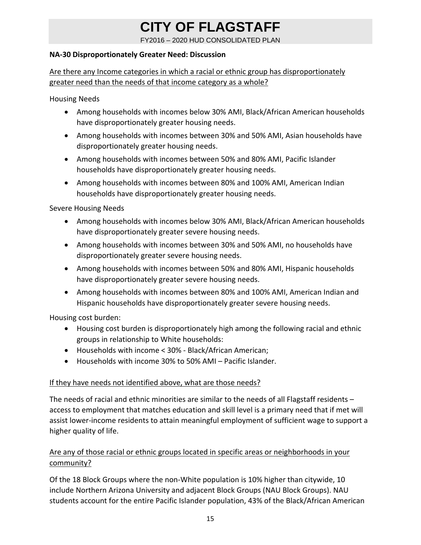FY2016 – 2020 HUD CONSOLIDATED PLAN

#### **NA‐30 Disproportionately Greater Need: Discussion**

Are there any Income categories in which a racial or ethnic group has disproportionately greater need than the needs of that income category as a whole?

Housing Needs

- Among households with incomes below 30% AMI, Black/African American households have disproportionately greater housing needs.
- Among households with incomes between 30% and 50% AMI, Asian households have disproportionately greater housing needs.
- Among households with incomes between 50% and 80% AMI, Pacific Islander households have disproportionately greater housing needs.
- Among households with incomes between 80% and 100% AMI, American Indian households have disproportionately greater housing needs.

Severe Housing Needs

- Among households with incomes below 30% AMI, Black/African American households have disproportionately greater severe housing needs.
- Among households with incomes between 30% and 50% AMI, no households have disproportionately greater severe housing needs.
- Among households with incomes between 50% and 80% AMI, Hispanic households have disproportionately greater severe housing needs.
- Among households with incomes between 80% and 100% AMI, American Indian and Hispanic households have disproportionately greater severe housing needs.

Housing cost burden:

- Housing cost burden is disproportionately high among the following racial and ethnic groups in relationship to White households:
- Households with income < 30% ‐ Black/African American;
- Households with income 30% to 50% AMI Pacific Islander.

### If they have needs not identified above, what are those needs?

The needs of racial and ethnic minorities are similar to the needs of all Flagstaff residents – access to employment that matches education and skill level is a primary need that if met will assist lower‐income residents to attain meaningful employment of sufficient wage to support a higher quality of life.

### Are any of those racial or ethnic groups located in specific areas or neighborhoods in your community?

Of the 18 Block Groups where the non‐White population is 10% higher than citywide, 10 include Northern Arizona University and adjacent Block Groups (NAU Block Groups). NAU students account for the entire Pacific Islander population, 43% of the Black/African American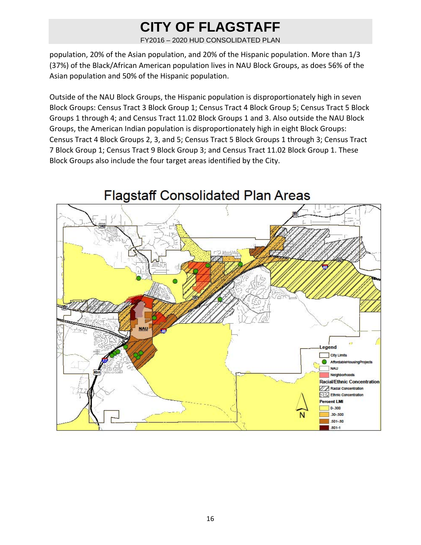FY2016 – 2020 HUD CONSOLIDATED PLAN

population, 20% of the Asian population, and 20% of the Hispanic population. More than 1/3 (37%) of the Black/African American population lives in NAU Block Groups, as does 56% of the Asian population and 50% of the Hispanic population.

Outside of the NAU Block Groups, the Hispanic population is disproportionately high in seven Block Groups: Census Tract 3 Block Group 1; Census Tract 4 Block Group 5; Census Tract 5 Block Groups 1 through 4; and Census Tract 11.02 Block Groups 1 and 3. Also outside the NAU Block Groups, the American Indian population is disproportionately high in eight Block Groups: Census Tract 4 Block Groups 2, 3, and 5; Census Tract 5 Block Groups 1 through 3; Census Tract 7 Block Group 1; Census Tract 9 Block Group 3; and Census Tract 11.02 Block Group 1. These Block Groups also include the four target areas identified by the City.

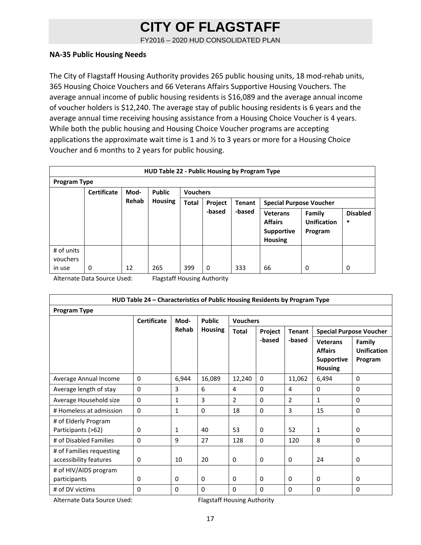FY2016 – 2020 HUD CONSOLIDATED PLAN

#### **NA‐35 Public Housing Needs**

The City of Flagstaff Housing Authority provides 265 public housing units, 18 mod‐rehab units, 365 Housing Choice Vouchers and 66 Veterans Affairs Supportive Housing Vouchers. The average annual income of public housing residents is \$16,089 and the average annual income of voucher holders is \$12,240. The average stay of public housing residents is 6 years and the average annual time receiving housing assistance from a Housing Choice Voucher is 4 years. While both the public housing and Housing Choice Voucher programs are accepting applications the approximate wait time is 1 and  $\frac{1}{2}$  to 3 years or more for a Housing Choice Voucher and 6 months to 2 years for public housing.

|                                                                | HUD Table 22 - Public Housing by Program Type |       |                |                                                                            |        |        |                                                                          |                                         |                           |  |  |
|----------------------------------------------------------------|-----------------------------------------------|-------|----------------|----------------------------------------------------------------------------|--------|--------|--------------------------------------------------------------------------|-----------------------------------------|---------------------------|--|--|
| <b>Program Type</b>                                            |                                               |       |                |                                                                            |        |        |                                                                          |                                         |                           |  |  |
| <b>Public</b><br><b>Certificate</b><br><b>Vouchers</b><br>Mod- |                                               |       |                |                                                                            |        |        |                                                                          |                                         |                           |  |  |
|                                                                |                                               | Rehab | <b>Housing</b> | <b>Total</b><br>Project<br><b>Tenant</b><br><b>Special Purpose Voucher</b> |        |        |                                                                          |                                         |                           |  |  |
|                                                                |                                               |       |                |                                                                            | -based | -based | <b>Veterans</b><br><b>Affairs</b><br><b>Supportive</b><br><b>Housing</b> | Family<br><b>Unification</b><br>Program | <b>Disabled</b><br>$\ast$ |  |  |
| # of units<br>vouchers                                         |                                               |       |                |                                                                            |        |        |                                                                          |                                         |                           |  |  |
| in use                                                         | 0                                             | 12    | 265            | 399                                                                        | 0      | 333    | 66                                                                       | 0                                       | 0                         |  |  |

Alternate Data Source Used: Flagstaff Housing Authority

| HUD Table 24 - Characteristics of Public Housing Residents by Program Type |                    |              |                |                 |          |               |                                                                          |                                         |  |
|----------------------------------------------------------------------------|--------------------|--------------|----------------|-----------------|----------|---------------|--------------------------------------------------------------------------|-----------------------------------------|--|
| Program Type                                                               |                    |              |                |                 |          |               |                                                                          |                                         |  |
|                                                                            | <b>Certificate</b> | Mod-         | <b>Public</b>  | <b>Vouchers</b> |          |               |                                                                          |                                         |  |
|                                                                            |                    | Rehab        | <b>Housing</b> | <b>Total</b>    | Project  | <b>Tenant</b> |                                                                          | <b>Special Purpose Voucher</b>          |  |
|                                                                            |                    |              |                |                 | -based   | -based        | <b>Veterans</b><br><b>Affairs</b><br><b>Supportive</b><br><b>Housing</b> | Family<br><b>Unification</b><br>Program |  |
| Average Annual Income                                                      | $\mathbf{0}$       | 6,944        | 16,089         | 12,240          | $\Omega$ | 11,062        | 6,494                                                                    | 0                                       |  |
| Average length of stay                                                     | $\Omega$           | 3            | 6              | 4               | $\Omega$ | 4             | $\Omega$                                                                 | 0                                       |  |
| Average Household size                                                     | $\Omega$           | 1            | 3              | $\overline{2}$  | $\Omega$ | 2             | 1                                                                        | 0                                       |  |
| # Homeless at admission                                                    | $\mathbf{0}$       | $\mathbf{1}$ | $\Omega$       | 18              | $\Omega$ | 3             | 15                                                                       | 0                                       |  |
| # of Elderly Program<br>Participants (>62)                                 | $\Omega$           | 1            | 40             | 53              | $\Omega$ | 52            | $\mathbf{1}$                                                             | 0                                       |  |
| # of Disabled Families                                                     | $\mathbf{0}$       | 9            | 27             | 128             | $\Omega$ | 120           | 8                                                                        | $\mathbf{0}$                            |  |
| # of Families requesting<br>accessibility features                         | 0                  | 10           | 20             | 0               | 0        | 0             | 24                                                                       | 0                                       |  |
| # of HIV/AIDS program<br>participants                                      | 0                  | $\mathbf{0}$ | 0              | $\Omega$        | $\Omega$ | 0             | $\Omega$                                                                 | $\Omega$                                |  |
| # of DV victims                                                            | $\Omega$           | $\Omega$     | $\Omega$       | $\Omega$        | $\Omega$ | 0             | $\Omega$                                                                 | 0                                       |  |

Alternate Data Source Used: Flagstaff Housing Authority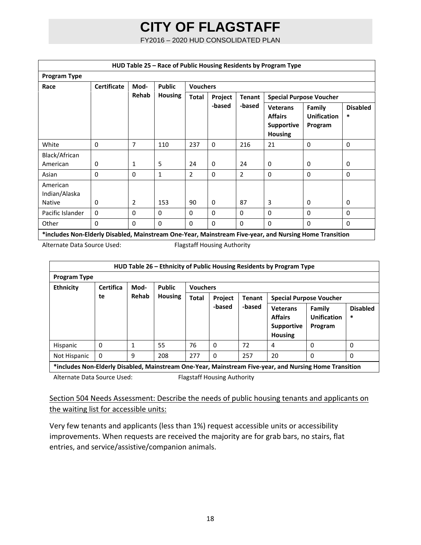FY2016 – 2020 HUD CONSOLIDATED PLAN

| HUD Table 25 – Race of Public Housing Residents by Program Type                                        |                    |                |                |                 |              |               |                                                                          |                                         |                      |
|--------------------------------------------------------------------------------------------------------|--------------------|----------------|----------------|-----------------|--------------|---------------|--------------------------------------------------------------------------|-----------------------------------------|----------------------|
| <b>Program Type</b>                                                                                    |                    |                |                |                 |              |               |                                                                          |                                         |                      |
| Race                                                                                                   | <b>Certificate</b> | Mod-           | <b>Public</b>  | <b>Vouchers</b> |              |               |                                                                          |                                         |                      |
|                                                                                                        |                    | Rehab          | <b>Housing</b> | <b>Total</b>    | Project      | <b>Tenant</b> |                                                                          | <b>Special Purpose Voucher</b>          |                      |
|                                                                                                        |                    |                |                |                 | -based       | -based        | <b>Veterans</b><br><b>Affairs</b><br><b>Supportive</b><br><b>Housing</b> | Family<br><b>Unification</b><br>Program | <b>Disabled</b><br>* |
| White                                                                                                  | $\Omega$           | 7              | 110            | 237             | $\Omega$     | 216           | 21                                                                       | $\mathbf 0$                             | $\Omega$             |
| Black/African<br>American                                                                              | 0                  | 1              | 5              | 24              | $\Omega$     | 24            | $\Omega$                                                                 | 0                                       | 0                    |
| Asian                                                                                                  | $\Omega$           | $\Omega$       | $\mathbf{1}$   | $\overline{2}$  | $\mathbf{0}$ | 2             | $\Omega$                                                                 | $\Omega$                                | $\Omega$             |
| American<br>Indian/Alaska<br><b>Native</b>                                                             | $\Omega$           | $\overline{2}$ | 153            | 90              | $\Omega$     | 87            | 3                                                                        | $\mathbf{0}$                            | $\Omega$             |
| Pacific Islander                                                                                       | $\Omega$           | $\Omega$       | $\Omega$       | $\mathbf{0}$    | $\mathbf{0}$ | 0             | $\Omega$                                                                 | $\Omega$                                | $\Omega$             |
| Other                                                                                                  | $\Omega$           | $\Omega$       | $\Omega$       | $\Omega$        | $\Omega$     | $\Omega$      | $\Omega$                                                                 | $\mathbf{0}$                            | $\Omega$             |
| includes Non-Elderly Disabled, Mainstream One-Year, Mainstream Five-year, and Nursing Home Transition* |                    |                |                |                 |              |               |                                                                          |                                         |                      |

Alternate Data Source Used: Flagstaff Housing Authority

| HUD Table 26 - Ethnicity of Public Housing Residents by Program Type             |                                                                                                        |       |                |                                          |          |        |                                                                          |                                         |                      |
|----------------------------------------------------------------------------------|--------------------------------------------------------------------------------------------------------|-------|----------------|------------------------------------------|----------|--------|--------------------------------------------------------------------------|-----------------------------------------|----------------------|
| <b>Program Type</b>                                                              |                                                                                                        |       |                |                                          |          |        |                                                                          |                                         |                      |
| <b>Certifica</b><br><b>Public</b><br><b>Vouchers</b><br><b>Ethnicity</b><br>Mod- |                                                                                                        |       |                |                                          |          |        |                                                                          |                                         |                      |
|                                                                                  | te                                                                                                     | Rehab | <b>Housing</b> | <b>Total</b><br>Project<br><b>Tenant</b> |          |        |                                                                          | <b>Special Purpose Voucher</b>          |                      |
|                                                                                  |                                                                                                        |       |                |                                          | -based   | -based | <b>Veterans</b><br><b>Affairs</b><br><b>Supportive</b><br><b>Housing</b> | Family<br><b>Unification</b><br>Program | <b>Disabled</b><br>* |
| Hispanic                                                                         | $\Omega$                                                                                               |       | 55             | 76                                       | $\Omega$ | 72     | 4                                                                        | $\Omega$                                | 0                    |
| Not Hispanic                                                                     | $\mathbf{0}$                                                                                           | 9     | 208            | 277                                      | 0        | 257    | 20                                                                       | $\Omega$                                | 0                    |
|                                                                                  | *includes Non-Elderly Disabled, Mainstream One-Year, Mainstream Five-year, and Nursing Home Transition |       |                |                                          |          |        |                                                                          |                                         |                      |

Alternate Data Source Used: Flagstaff Housing Authority

### Section 504 Needs Assessment: Describe the needs of public housing tenants and applicants on the waiting list for accessible units:

Very few tenants and applicants (less than 1%) request accessible units or accessibility improvements. When requests are received the majority are for grab bars, no stairs, flat entries, and service/assistive/companion animals.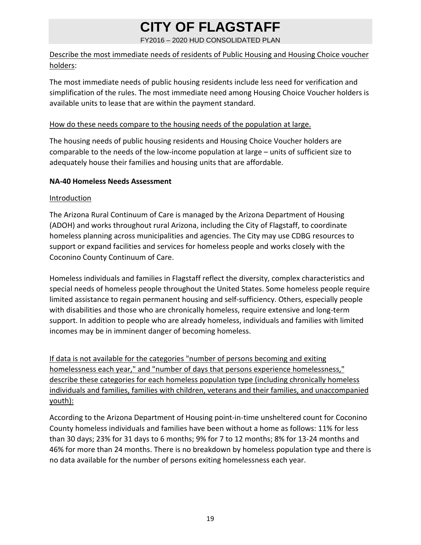#### FY2016 – 2020 HUD CONSOLIDATED PLAN

### Describe the most immediate needs of residents of Public Housing and Housing Choice voucher holders:

The most immediate needs of public housing residents include less need for verification and simplification of the rules. The most immediate need among Housing Choice Voucher holders is available units to lease that are within the payment standard.

#### How do these needs compare to the housing needs of the population at large.

The housing needs of public housing residents and Housing Choice Voucher holders are comparable to the needs of the low‐income population at large – units of sufficient size to adequately house their families and housing units that are affordable.

#### **NA‐40 Homeless Needs Assessment**

#### Introduction

The Arizona Rural Continuum of Care is managed by the Arizona Department of Housing (ADOH) and works throughout rural Arizona, including the City of Flagstaff, to coordinate homeless planning across municipalities and agencies. The City may use CDBG resources to support or expand facilities and services for homeless people and works closely with the Coconino County Continuum of Care.

Homeless individuals and families in Flagstaff reflect the diversity, complex characteristics and special needs of homeless people throughout the United States. Some homeless people require limited assistance to regain permanent housing and self‐sufficiency. Others, especially people with disabilities and those who are chronically homeless, require extensive and long-term support. In addition to people who are already homeless, individuals and families with limited incomes may be in imminent danger of becoming homeless.

If data is not available for the categories "number of persons becoming and exiting homelessness each year," and "number of days that persons experience homelessness," describe these categories for each homeless population type (including chronically homeless individuals and families, families with children, veterans and their families, and unaccompanied youth):

According to the Arizona Department of Housing point‐in‐time unsheltered count for Coconino County homeless individuals and families have been without a home as follows: 11% for less than 30 days; 23% for 31 days to 6 months; 9% for 7 to 12 months; 8% for 13‐24 months and 46% for more than 24 months. There is no breakdown by homeless population type and there is no data available for the number of persons exiting homelessness each year.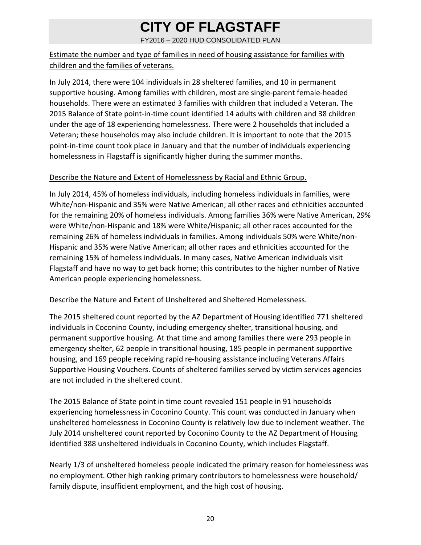FY2016 – 2020 HUD CONSOLIDATED PLAN

### Estimate the number and type of families in need of housing assistance for families with children and the families of veterans.

In July 2014, there were 104 individuals in 28 sheltered families, and 10 in permanent supportive housing. Among families with children, most are single‐parent female‐headed households. There were an estimated 3 families with children that included a Veteran. The 2015 Balance of State point‐in‐time count identified 14 adults with children and 38 children under the age of 18 experiencing homelessness. There were 2 households that included a Veteran; these households may also include children. It is important to note that the 2015 point‐in‐time count took place in January and that the number of individuals experiencing homelessness in Flagstaff is significantly higher during the summer months.

#### Describe the Nature and Extent of Homelessness by Racial and Ethnic Group.

In July 2014, 45% of homeless individuals, including homeless individuals in families, were White/non‐Hispanic and 35% were Native American; all other races and ethnicities accounted for the remaining 20% of homeless individuals. Among families 36% were Native American, 29% were White/non‐Hispanic and 18% were White/Hispanic; all other races accounted for the remaining 26% of homeless individuals in families. Among individuals 50% were White/non‐ Hispanic and 35% were Native American; all other races and ethnicities accounted for the remaining 15% of homeless individuals. In many cases, Native American individuals visit Flagstaff and have no way to get back home; this contributes to the higher number of Native American people experiencing homelessness.

### Describe the Nature and Extent of Unsheltered and Sheltered Homelessness.

The 2015 sheltered count reported by the AZ Department of Housing identified 771 sheltered individuals in Coconino County, including emergency shelter, transitional housing, and permanent supportive housing. At that time and among families there were 293 people in emergency shelter, 62 people in transitional housing, 185 people in permanent supportive housing, and 169 people receiving rapid re-housing assistance including Veterans Affairs Supportive Housing Vouchers. Counts of sheltered families served by victim services agencies are not included in the sheltered count.

The 2015 Balance of State point in time count revealed 151 people in 91 households experiencing homelessness in Coconino County. This count was conducted in January when unsheltered homelessness in Coconino County is relatively low due to inclement weather. The July 2014 unsheltered count reported by Coconino County to the AZ Department of Housing identified 388 unsheltered individuals in Coconino County, which includes Flagstaff.

Nearly 1/3 of unsheltered homeless people indicated the primary reason for homelessness was no employment. Other high ranking primary contributors to homelessness were household/ family dispute, insufficient employment, and the high cost of housing.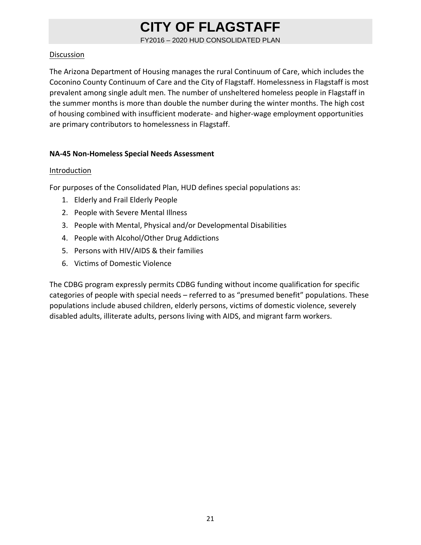FY2016 – 2020 HUD CONSOLIDATED PLAN

#### Discussion

The Arizona Department of Housing manages the rural Continuum of Care, which includes the Coconino County Continuum of Care and the City of Flagstaff. Homelessness in Flagstaff is most prevalent among single adult men. The number of unsheltered homeless people in Flagstaff in the summer months is more than double the number during the winter months. The high cost of housing combined with insufficient moderate‐ and higher‐wage employment opportunities are primary contributors to homelessness in Flagstaff.

#### **NA‐45 Non‐Homeless Special Needs Assessment**

#### **Introduction**

For purposes of the Consolidated Plan, HUD defines special populations as:

- 1. Elderly and Frail Elderly People
- 2. People with Severe Mental Illness
- 3. People with Mental, Physical and/or Developmental Disabilities
- 4. People with Alcohol/Other Drug Addictions
- 5. Persons with HIV/AIDS & their families
- 6. Victims of Domestic Violence

The CDBG program expressly permits CDBG funding without income qualification for specific categories of people with special needs – referred to as "presumed benefit" populations. These populations include abused children, elderly persons, victims of domestic violence, severely disabled adults, illiterate adults, persons living with AIDS, and migrant farm workers.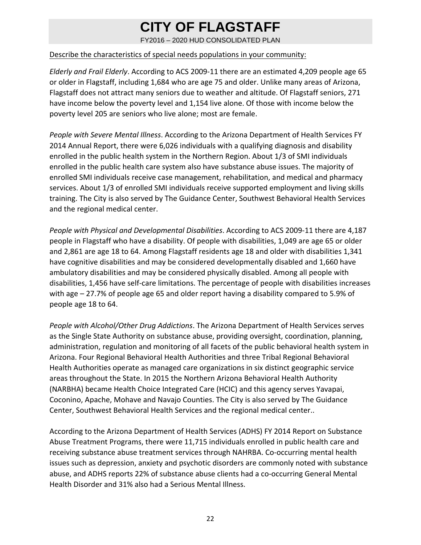FY2016 – 2020 HUD CONSOLIDATED PLAN

#### Describe the characteristics of special needs populations in your community:

*Elderly and Frail Elderly*. According to ACS 2009‐11 there are an estimated 4,209 people age 65 or older in Flagstaff, including 1,684 who are age 75 and older. Unlike many areas of Arizona, Flagstaff does not attract many seniors due to weather and altitude. Of Flagstaff seniors, 271 have income below the poverty level and 1,154 live alone. Of those with income below the poverty level 205 are seniors who live alone; most are female.

*People with Severe Mental Illness*. According to the Arizona Department of Health Services FY 2014 Annual Report, there were 6,026 individuals with a qualifying diagnosis and disability enrolled in the public health system in the Northern Region. About 1/3 of SMI individuals enrolled in the public health care system also have substance abuse issues. The majority of enrolled SMI individuals receive case management, rehabilitation, and medical and pharmacy services. About 1/3 of enrolled SMI individuals receive supported employment and living skills training. The City is also served by The Guidance Center, Southwest Behavioral Health Services and the regional medical center.

*People with Physical and Developmental Disabilities*. According to ACS 2009‐11 there are 4,187 people in Flagstaff who have a disability. Of people with disabilities, 1,049 are age 65 or older and 2,861 are age 18 to 64. Among Flagstaff residents age 18 and older with disabilities 1,341 have cognitive disabilities and may be considered developmentally disabled and 1,660 have ambulatory disabilities and may be considered physically disabled. Among all people with disabilities, 1,456 have self‐care limitations. The percentage of people with disabilities increases with age – 27.7% of people age 65 and older report having a disability compared to 5.9% of people age 18 to 64.

*People with Alcohol/Other Drug Addictions*. The Arizona Department of Health Services serves as the Single State Authority on substance abuse, providing oversight, coordination, planning, administration, regulation and monitoring of all facets of the public behavioral health system in Arizona. Four Regional Behavioral Health Authorities and three Tribal Regional Behavioral Health Authorities operate as managed care organizations in six distinct geographic service areas throughout the State. In 2015 the Northern Arizona Behavioral Health Authority (NARBHA) became Health Choice Integrated Care (HCIC) and this agency serves Yavapai, Coconino, Apache, Mohave and Navajo Counties. The City is also served by The Guidance Center, Southwest Behavioral Health Services and the regional medical center..

According to the Arizona Department of Health Services (ADHS) FY 2014 Report on Substance Abuse Treatment Programs, there were 11,715 individuals enrolled in public health care and receiving substance abuse treatment services through NAHRBA. Co‐occurring mental health issues such as depression, anxiety and psychotic disorders are commonly noted with substance abuse, and ADHS reports 22% of substance abuse clients had a co‐occurring General Mental Health Disorder and 31% also had a Serious Mental Illness.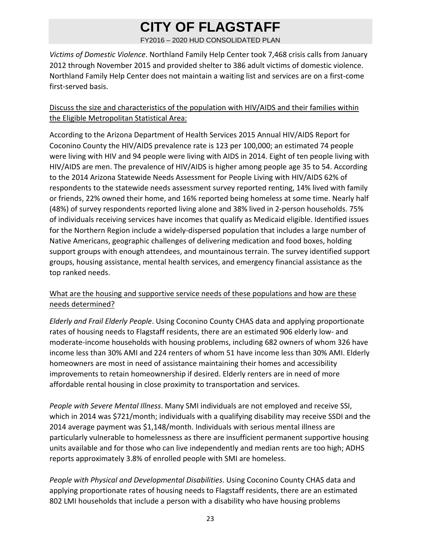FY2016 – 2020 HUD CONSOLIDATED PLAN

*Victims of Domestic Violence*. Northland Family Help Center took 7,468 crisis calls from January 2012 through November 2015 and provided shelter to 386 adult victims of domestic violence. Northland Family Help Center does not maintain a waiting list and services are on a first‐come first‐served basis.

### Discuss the size and characteristics of the population with HIV/AIDS and their families within the Eligible Metropolitan Statistical Area:

According to the Arizona Department of Health Services 2015 Annual HIV/AIDS Report for Coconino County the HIV/AIDS prevalence rate is 123 per 100,000; an estimated 74 people were living with HIV and 94 people were living with AIDS in 2014. Eight of ten people living with HIV/AIDS are men. The prevalence of HIV/AIDS is higher among people age 35 to 54. According to the 2014 Arizona Statewide Needs Assessment for People Living with HIV/AIDS 62% of respondents to the statewide needs assessment survey reported renting, 14% lived with family or friends, 22% owned their home, and 16% reported being homeless at some time. Nearly half (48%) of survey respondents reported living alone and 38% lived in 2‐person households. 75% of individuals receiving services have incomes that qualify as Medicaid eligible. Identified issues for the Northern Region include a widely‐dispersed population that includes a large number of Native Americans, geographic challenges of delivering medication and food boxes, holding support groups with enough attendees, and mountainous terrain. The survey identified support groups, housing assistance, mental health services, and emergency financial assistance as the top ranked needs.

### What are the housing and supportive service needs of these populations and how are these needs determined?

*Elderly and Frail Elderly People*. Using Coconino County CHAS data and applying proportionate rates of housing needs to Flagstaff residents, there are an estimated 906 elderly low‐ and moderate‐income households with housing problems, including 682 owners of whom 326 have income less than 30% AMI and 224 renters of whom 51 have income less than 30% AMI. Elderly homeowners are most in need of assistance maintaining their homes and accessibility improvements to retain homeownership if desired. Elderly renters are in need of more affordable rental housing in close proximity to transportation and services.

*People with Severe Mental Illness*. Many SMI individuals are not employed and receive SSI, which in 2014 was \$721/month; individuals with a qualifying disability may receive SSDI and the 2014 average payment was \$1,148/month. Individuals with serious mental illness are particularly vulnerable to homelessness as there are insufficient permanent supportive housing units available and for those who can live independently and median rents are too high; ADHS reports approximately 3.8% of enrolled people with SMI are homeless.

*People with Physical and Developmental Disabilities*. Using Coconino County CHAS data and applying proportionate rates of housing needs to Flagstaff residents, there are an estimated 802 LMI households that include a person with a disability who have housing problems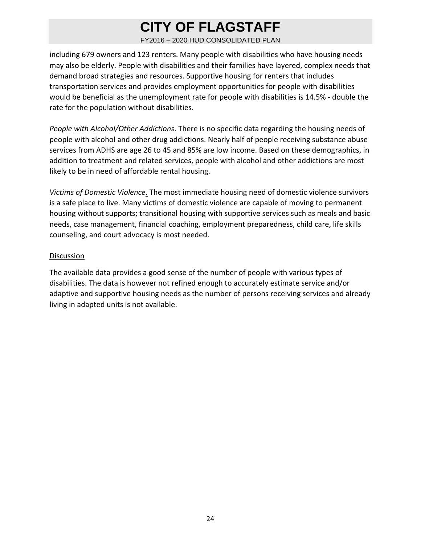FY2016 – 2020 HUD CONSOLIDATED PLAN

including 679 owners and 123 renters. Many people with disabilities who have housing needs may also be elderly. People with disabilities and their families have layered, complex needs that demand broad strategies and resources. Supportive housing for renters that includes transportation services and provides employment opportunities for people with disabilities would be beneficial as the unemployment rate for people with disabilities is 14.5% ‐ double the rate for the population without disabilities.

*People with Alcohol/Other Addictions*. There is no specific data regarding the housing needs of people with alcohol and other drug addictions. Nearly half of people receiving substance abuse services from ADHS are age 26 to 45 and 85% are low income. Based on these demographics, in addition to treatment and related services, people with alcohol and other addictions are most likely to be in need of affordable rental housing.

*Victims of Domestic Violence*. The most immediate housing need of domestic violence survivors is a safe place to live. Many victims of domestic violence are capable of moving to permanent housing without supports; transitional housing with supportive services such as meals and basic needs, case management, financial coaching, employment preparedness, child care, life skills counseling, and court advocacy is most needed.

#### **Discussion**

The available data provides a good sense of the number of people with various types of disabilities. The data is however not refined enough to accurately estimate service and/or adaptive and supportive housing needs as the number of persons receiving services and already living in adapted units is not available.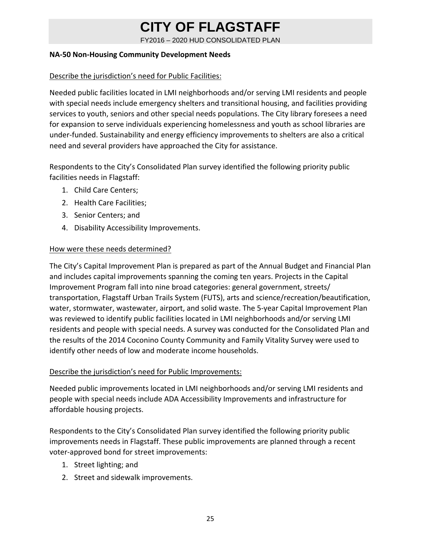FY2016 – 2020 HUD CONSOLIDATED PLAN

#### **NA‐50 Non‐Housing Community Development Needs**

#### Describe the jurisdiction's need for Public Facilities:

Needed public facilities located in LMI neighborhoods and/or serving LMI residents and people with special needs include emergency shelters and transitional housing, and facilities providing services to youth, seniors and other special needs populations. The City library foresees a need for expansion to serve individuals experiencing homelessness and youth as school libraries are under‐funded. Sustainability and energy efficiency improvements to shelters are also a critical need and several providers have approached the City for assistance.

Respondents to the City's Consolidated Plan survey identified the following priority public facilities needs in Flagstaff:

- 1. Child Care Centers;
- 2. Health Care Facilities;
- 3. Senior Centers; and
- 4. Disability Accessibility Improvements.

#### How were these needs determined?

The City's Capital Improvement Plan is prepared as part of the Annual Budget and Financial Plan and includes capital improvements spanning the coming ten years. Projects in the Capital Improvement Program fall into nine broad categories: general government, streets/ transportation, Flagstaff Urban Trails System (FUTS), arts and science/recreation/beautification, water, stormwater, wastewater, airport, and solid waste. The 5-year Capital Improvement Plan was reviewed to identify public facilities located in LMI neighborhoods and/or serving LMI residents and people with special needs. A survey was conducted for the Consolidated Plan and the results of the 2014 Coconino County Community and Family Vitality Survey were used to identify other needs of low and moderate income households.

#### Describe the jurisdiction's need for Public Improvements:

Needed public improvements located in LMI neighborhoods and/or serving LMI residents and people with special needs include ADA Accessibility Improvements and infrastructure for affordable housing projects.

Respondents to the City's Consolidated Plan survey identified the following priority public improvements needs in Flagstaff. These public improvements are planned through a recent voter‐approved bond for street improvements:

- 1. Street lighting; and
- 2. Street and sidewalk improvements.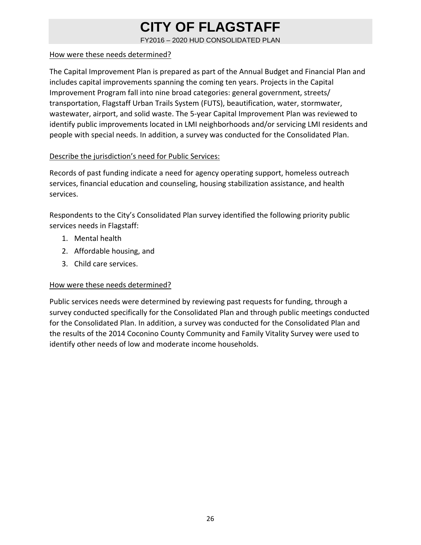FY2016 – 2020 HUD CONSOLIDATED PLAN

#### How were these needs determined?

The Capital Improvement Plan is prepared as part of the Annual Budget and Financial Plan and includes capital improvements spanning the coming ten years. Projects in the Capital Improvement Program fall into nine broad categories: general government, streets/ transportation, Flagstaff Urban Trails System (FUTS), beautification, water, stormwater, wastewater, airport, and solid waste. The 5‐year Capital Improvement Plan was reviewed to identify public improvements located in LMI neighborhoods and/or servicing LMI residents and people with special needs. In addition, a survey was conducted for the Consolidated Plan.

#### Describe the jurisdiction's need for Public Services:

Records of past funding indicate a need for agency operating support, homeless outreach services, financial education and counseling, housing stabilization assistance, and health services.

Respondents to the City's Consolidated Plan survey identified the following priority public services needs in Flagstaff:

- 1. Mental health
- 2. Affordable housing, and
- 3. Child care services.

### How were these needs determined?

Public services needs were determined by reviewing past requests for funding, through a survey conducted specifically for the Consolidated Plan and through public meetings conducted for the Consolidated Plan. In addition, a survey was conducted for the Consolidated Plan and the results of the 2014 Coconino County Community and Family Vitality Survey were used to identify other needs of low and moderate income households.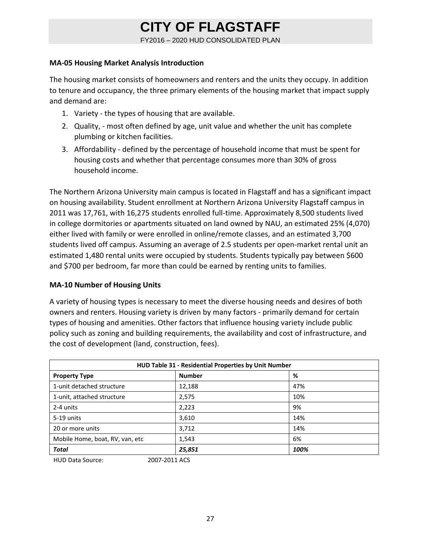FY2016 – 2020 HUD CONSOLIDATED PLAN

#### **MA‐05 Housing Market Analysis Introduction**

The housing market consists of homeowners and renters and the units they occupy. In addition to tenure and occupancy, the three primary elements of the housing market that impact supply and demand are:

- 1. Variety ‐ the types of housing that are available.
- 2. Quality, ‐ most often defined by age, unit value and whether the unit has complete plumbing or kitchen facilities.
- 3. Affordability ‐ defined by the percentage of household income that must be spent for housing costs and whether that percentage consumes more than 30% of gross household income.

The Northern Arizona University main campus is located in Flagstaff and has a significant impact on housing availability. Student enrollment at Northern Arizona University Flagstaff campus in 2011 was 17,761, with 16,275 students enrolled full‐time. Approximately 8,500 students lived in college dormitories or apartments situated on land owned by NAU, an estimated 25% (4,070) either lived with family or were enrolled in online/remote classes, and an estimated 3,700 students lived off campus. Assuming an average of 2.5 students per open‐market rental unit an estimated 1,480 rental units were occupied by students. Students typically pay between \$600 and \$700 per bedroom, far more than could be earned by renting units to families.

### **MA‐10 Number of Housing Units**

A variety of housing types is necessary to meet the diverse housing needs and desires of both owners and renters. Housing variety is driven by many factors ‐ primarily demand for certain types of housing and amenities. Other factors that influence housing variety include public policy such as zoning and building requirements, the availability and cost of infrastructure, and the cost of development (land, construction, fees).

|               | HUD Table 31 - Residential Properties by Unit Number |  |  |  |  |  |  |
|---------------|------------------------------------------------------|--|--|--|--|--|--|
| <b>Number</b> | %                                                    |  |  |  |  |  |  |
| 12,188        | 47%                                                  |  |  |  |  |  |  |
| 2,575         | 10%                                                  |  |  |  |  |  |  |
| 2,223         | 9%                                                   |  |  |  |  |  |  |
| 3,610         | 14%                                                  |  |  |  |  |  |  |
| 3,712         | 14%                                                  |  |  |  |  |  |  |
| 1,543         | 6%                                                   |  |  |  |  |  |  |
| 25,851        | 100%                                                 |  |  |  |  |  |  |
|               | 2007 2011 $\Lambda$ CC                               |  |  |  |  |  |  |

HUD Data Source: 2007‐2011 ACS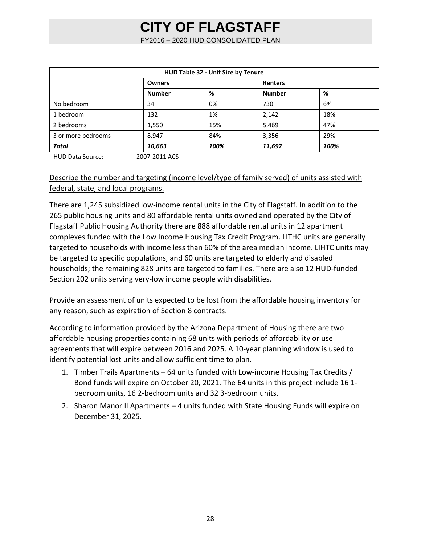FY2016 – 2020 HUD CONSOLIDATED PLAN

| HUD Table 32 - Unit Size by Tenure |               |      |                |      |  |  |  |
|------------------------------------|---------------|------|----------------|------|--|--|--|
|                                    | <b>Owners</b> |      | <b>Renters</b> |      |  |  |  |
|                                    | <b>Number</b> | %    | <b>Number</b>  | %    |  |  |  |
| No bedroom                         | 34            | 0%   | 730            | 6%   |  |  |  |
| 1 bedroom                          | 132           | 1%   | 2,142          | 18%  |  |  |  |
| 2 bedrooms                         | 1,550         | 15%  | 5,469          | 47%  |  |  |  |
| 3 or more bedrooms                 | 8,947         | 84%  | 3,356          | 29%  |  |  |  |
| <b>Total</b>                       | 10,663        | 100% | 11,697         | 100% |  |  |  |

HUD Data Source: 2007‐2011 ACS

### Describe the number and targeting (income level/type of family served) of units assisted with federal, state, and local programs.

There are 1,245 subsidized low‐income rental units in the City of Flagstaff. In addition to the 265 public housing units and 80 affordable rental units owned and operated by the City of Flagstaff Public Housing Authority there are 888 affordable rental units in 12 apartment complexes funded with the Low Income Housing Tax Credit Program. LITHC units are generally targeted to households with income less than 60% of the area median income. LIHTC units may be targeted to specific populations, and 60 units are targeted to elderly and disabled households; the remaining 828 units are targeted to families. There are also 12 HUD‐funded Section 202 units serving very-low income people with disabilities.

### Provide an assessment of units expected to be lost from the affordable housing inventory for any reason, such as expiration of Section 8 contracts.

According to information provided by the Arizona Department of Housing there are two affordable housing properties containing 68 units with periods of affordability or use agreements that will expire between 2016 and 2025. A 10‐year planning window is used to identify potential lost units and allow sufficient time to plan.

- 1. Timber Trails Apartments 64 units funded with Low‐income Housing Tax Credits / Bond funds will expire on October 20, 2021. The 64 units in this project include 16 1‐ bedroom units, 16 2‐bedroom units and 32 3‐bedroom units.
- 2. Sharon Manor II Apartments 4 units funded with State Housing Funds will expire on December 31, 2025.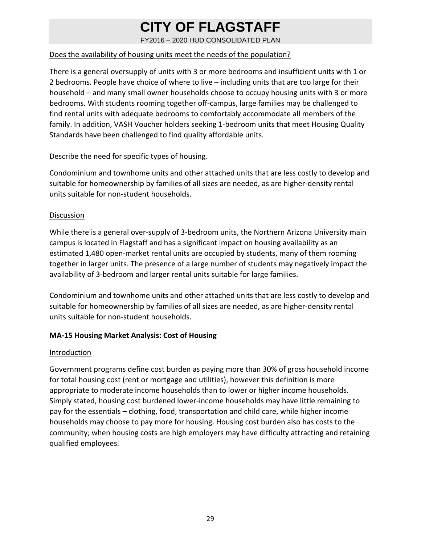FY2016 – 2020 HUD CONSOLIDATED PLAN

### Does the availability of housing units meet the needs of the population?

There is a general oversupply of units with 3 or more bedrooms and insufficient units with 1 or 2 bedrooms. People have choice of where to live – including units that are too large for their household – and many small owner households choose to occupy housing units with 3 or more bedrooms. With students rooming together off‐campus, large families may be challenged to find rental units with adequate bedrooms to comfortably accommodate all members of the family. In addition, VASH Voucher holders seeking 1-bedroom units that meet Housing Quality Standards have been challenged to find quality affordable units.

#### Describe the need for specific types of housing.

Condominium and townhome units and other attached units that are less costly to develop and suitable for homeownership by families of all sizes are needed, as are higher‐density rental units suitable for non‐student households.

#### Discussion

While there is a general over-supply of 3-bedroom units, the Northern Arizona University main campus is located in Flagstaff and has a significant impact on housing availability as an estimated 1,480 open‐market rental units are occupied by students, many of them rooming together in larger units. The presence of a large number of students may negatively impact the availability of 3‐bedroom and larger rental units suitable for large families.

Condominium and townhome units and other attached units that are less costly to develop and suitable for homeownership by families of all sizes are needed, as are higher‐density rental units suitable for non‐student households.

### **MA‐15 Housing Market Analysis: Cost of Housing**

#### Introduction

Government programs define cost burden as paying more than 30% of gross household income for total housing cost (rent or mortgage and utilities), however this definition is more appropriate to moderate income households than to lower or higher income households. Simply stated, housing cost burdened lower‐income households may have little remaining to pay for the essentials – clothing, food, transportation and child care, while higher income households may choose to pay more for housing. Housing cost burden also has costs to the community; when housing costs are high employers may have difficulty attracting and retaining qualified employees.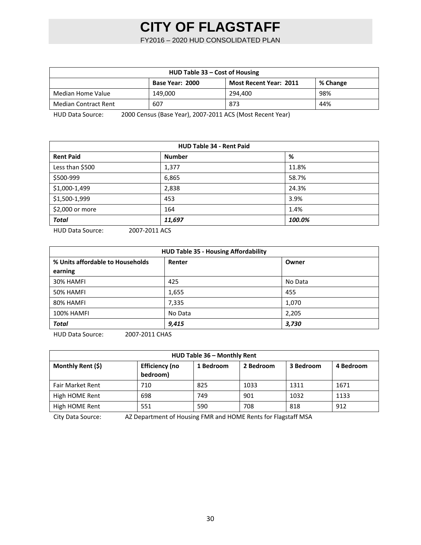FY2016 – 2020 HUD CONSOLIDATED PLAN

| HUD Table 33 – Cost of Housing                               |         |         |     |  |  |  |  |
|--------------------------------------------------------------|---------|---------|-----|--|--|--|--|
| Base Year: 2000<br><b>Most Recent Year: 2011</b><br>% Change |         |         |     |  |  |  |  |
| Median Home Value                                            | 149.000 | 294.400 | 98% |  |  |  |  |
| <b>Median Contract Rent</b>                                  | 607     | 873     | 44% |  |  |  |  |

HUD Data Source: 2000 Census (Base Year), 2007‐2011 ACS (Most Recent Year)

| <b>HUD Table 34 - Rent Paid</b> |               |        |  |  |  |
|---------------------------------|---------------|--------|--|--|--|
| <b>Rent Paid</b>                | <b>Number</b> | %      |  |  |  |
| Less than \$500                 | 1,377         | 11.8%  |  |  |  |
| \$500-999                       | 6,865         | 58.7%  |  |  |  |
| \$1,000-1,499                   | 2,838         | 24.3%  |  |  |  |
| \$1,500-1,999                   | 453           | 3.9%   |  |  |  |
| \$2,000 or more                 | 164           | 1.4%   |  |  |  |
| <b>Total</b>                    | 11,697        | 100.0% |  |  |  |

HUD Data Source: 2007-2011 ACS

| <b>HUD Table 35 - Housing Affordability</b> |         |         |  |  |  |  |
|---------------------------------------------|---------|---------|--|--|--|--|
| % Units affordable to Households            | Renter  | Owner   |  |  |  |  |
| earning                                     |         |         |  |  |  |  |
| 30% HAMFI                                   | 425     | No Data |  |  |  |  |
| 50% HAMFI                                   | 1,655   | 455     |  |  |  |  |
| 80% HAMFI                                   | 7,335   | 1,070   |  |  |  |  |
| <b>100% HAMFI</b>                           | No Data | 2,205   |  |  |  |  |
| <b>Total</b>                                | 9,415   | 3,730   |  |  |  |  |

HUD Data Source: 2007‐2011 CHAS

| HUD Table 36 - Monthly Rent |                                   |           |           |           |      |  |  |  |  |
|-----------------------------|-----------------------------------|-----------|-----------|-----------|------|--|--|--|--|
| Monthly Rent (\$)           | <b>Efficiency (no</b><br>bedroom) | 2 Bedroom | 3 Bedroom | 4 Bedroom |      |  |  |  |  |
| <b>Fair Market Rent</b>     | 710                               | 825       | 1033      | 1311      | 1671 |  |  |  |  |
| High HOME Rent              | 698                               | 749       | 901       | 1032      | 1133 |  |  |  |  |
| High HOME Rent              | 551                               | 590       | 708       | 818       | 912  |  |  |  |  |

City Data Source: AZ Department of Housing FMR and HOME Rents for Flagstaff MSA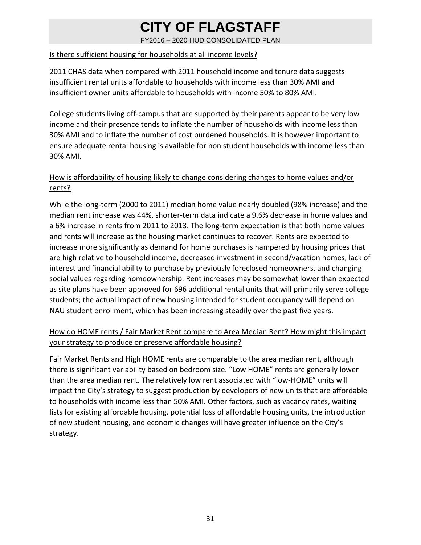FY2016 – 2020 HUD CONSOLIDATED PLAN

### Is there sufficient housing for households at all income levels?

2011 CHAS data when compared with 2011 household income and tenure data suggests insufficient rental units affordable to households with income less than 30% AMI and insufficient owner units affordable to households with income 50% to 80% AMI.

College students living off‐campus that are supported by their parents appear to be very low income and their presence tends to inflate the number of households with income less than 30% AMI and to inflate the number of cost burdened households. It is however important to ensure adequate rental housing is available for non student households with income less than 30% AMI.

### How is affordability of housing likely to change considering changes to home values and/or rents?

While the long‐term (2000 to 2011) median home value nearly doubled (98% increase) and the median rent increase was 44%, shorter‐term data indicate a 9.6% decrease in home values and a 6% increase in rents from 2011 to 2013. The long‐term expectation is that both home values and rents will increase as the housing market continues to recover. Rents are expected to increase more significantly as demand for home purchases is hampered by housing prices that are high relative to household income, decreased investment in second/vacation homes, lack of interest and financial ability to purchase by previously foreclosed homeowners, and changing social values regarding homeownership. Rent increases may be somewhat lower than expected as site plans have been approved for 696 additional rental units that will primarily serve college students; the actual impact of new housing intended for student occupancy will depend on NAU student enrollment, which has been increasing steadily over the past five years.

### How do HOME rents / Fair Market Rent compare to Area Median Rent? How might this impact your strategy to produce or preserve affordable housing?

Fair Market Rents and High HOME rents are comparable to the area median rent, although there is significant variability based on bedroom size. "Low HOME" rents are generally lower than the area median rent. The relatively low rent associated with "low‐HOME" units will impact the City's strategy to suggest production by developers of new units that are affordable to households with income less than 50% AMI. Other factors, such as vacancy rates, waiting lists for existing affordable housing, potential loss of affordable housing units, the introduction of new student housing, and economic changes will have greater influence on the City's strategy.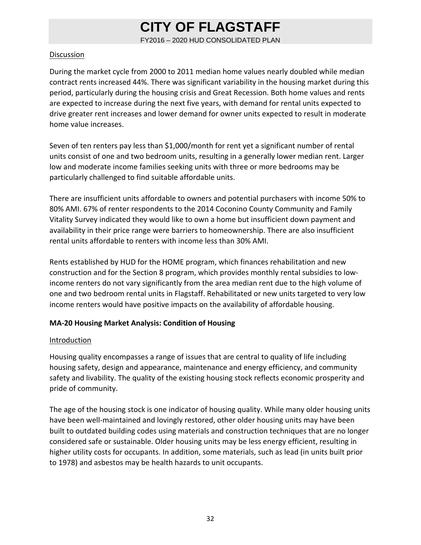FY2016 – 2020 HUD CONSOLIDATED PLAN

#### Discussion

During the market cycle from 2000 to 2011 median home values nearly doubled while median contract rents increased 44%. There was significant variability in the housing market during this period, particularly during the housing crisis and Great Recession. Both home values and rents are expected to increase during the next five years, with demand for rental units expected to drive greater rent increases and lower demand for owner units expected to result in moderate home value increases.

Seven of ten renters pay less than \$1,000/month for rent yet a significant number of rental units consist of one and two bedroom units, resulting in a generally lower median rent. Larger low and moderate income families seeking units with three or more bedrooms may be particularly challenged to find suitable affordable units.

There are insufficient units affordable to owners and potential purchasers with income 50% to 80% AMI. 67% of renter respondents to the 2014 Coconino County Community and Family Vitality Survey indicated they would like to own a home but insufficient down payment and availability in their price range were barriers to homeownership. There are also insufficient rental units affordable to renters with income less than 30% AMI.

Rents established by HUD for the HOME program, which finances rehabilitation and new construction and for the Section 8 program, which provides monthly rental subsidies to low‐ income renters do not vary significantly from the area median rent due to the high volume of one and two bedroom rental units in Flagstaff. Rehabilitated or new units targeted to very low income renters would have positive impacts on the availability of affordable housing.

### **MA‐20 Housing Market Analysis: Condition of Housing**

### **Introduction**

Housing quality encompasses a range of issues that are central to quality of life including housing safety, design and appearance, maintenance and energy efficiency, and community safety and livability. The quality of the existing housing stock reflects economic prosperity and pride of community.

The age of the housing stock is one indicator of housing quality. While many older housing units have been well-maintained and lovingly restored, other older housing units may have been built to outdated building codes using materials and construction techniques that are no longer considered safe or sustainable. Older housing units may be less energy efficient, resulting in higher utility costs for occupants. In addition, some materials, such as lead (in units built prior to 1978) and asbestos may be health hazards to unit occupants.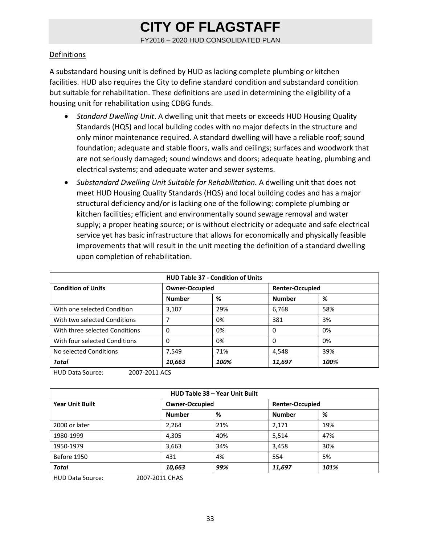FY2016 – 2020 HUD CONSOLIDATED PLAN

#### **Definitions**

A substandard housing unit is defined by HUD as lacking complete plumbing or kitchen facilities. HUD also requires the City to define standard condition and substandard condition but suitable for rehabilitation. These definitions are used in determining the eligibility of a housing unit for rehabilitation using CDBG funds.

- *Standard Dwelling Unit*. A dwelling unit that meets or exceeds HUD Housing Quality Standards (HQS) and local building codes with no major defects in the structure and only minor maintenance required. A standard dwelling will have a reliable roof; sound foundation; adequate and stable floors, walls and ceilings; surfaces and woodwork that are not seriously damaged; sound windows and doors; adequate heating, plumbing and electrical systems; and adequate water and sewer systems.
- *Substandard Dwelling Unit Suitable for Rehabilitation.* A dwelling unit that does not meet HUD Housing Quality Standards (HQS) and local building codes and has a major structural deficiency and/or is lacking one of the following: complete plumbing or kitchen facilities; efficient and environmentally sound sewage removal and water supply; a proper heating source; or is without electricity or adequate and safe electrical service yet has basic infrastructure that allows for economically and physically feasible improvements that will result in the unit meeting the definition of a standard dwelling upon completion of rehabilitation.

| <b>HUD Table 37 - Condition of Units</b> |                       |      |                        |      |  |  |  |
|------------------------------------------|-----------------------|------|------------------------|------|--|--|--|
| <b>Condition of Units</b>                | <b>Owner-Occupied</b> |      | <b>Renter-Occupied</b> |      |  |  |  |
|                                          | <b>Number</b>         | %    | <b>Number</b>          | %    |  |  |  |
| With one selected Condition              | 3,107                 | 29%  | 6,768                  | 58%  |  |  |  |
| With two selected Conditions             |                       | 0%   | 381                    | 3%   |  |  |  |
| With three selected Conditions           | 0                     | 0%   | $\Omega$               | 0%   |  |  |  |
| With four selected Conditions            | 0                     | 0%   | $\Omega$               | 0%   |  |  |  |
| No selected Conditions                   | 7,549                 | 71%  | 4,548                  | 39%  |  |  |  |
| <b>Total</b>                             | 10,663                | 100% | 11,697                 | 100% |  |  |  |

HUD Data Source: 2007‐2011 ACS

| HUD Table 38 - Year Unit Built |                       |     |                        |      |  |  |  |
|--------------------------------|-----------------------|-----|------------------------|------|--|--|--|
| <b>Year Unit Built</b>         | <b>Owner-Occupied</b> |     | <b>Renter-Occupied</b> |      |  |  |  |
|                                | <b>Number</b>         | %   | <b>Number</b>          | %    |  |  |  |
| 2000 or later                  | 2,264                 | 21% | 2,171                  | 19%  |  |  |  |
| 1980-1999                      | 4,305                 | 40% | 5,514                  | 47%  |  |  |  |
| 1950-1979                      | 3,663                 | 34% | 3,458                  | 30%  |  |  |  |
| Before 1950                    | 431                   | 4%  | 554                    | 5%   |  |  |  |
| <b>Total</b>                   | 10,663                | 99% | 11,697                 | 101% |  |  |  |

HUD Data Source: 2007‐2011 CHAS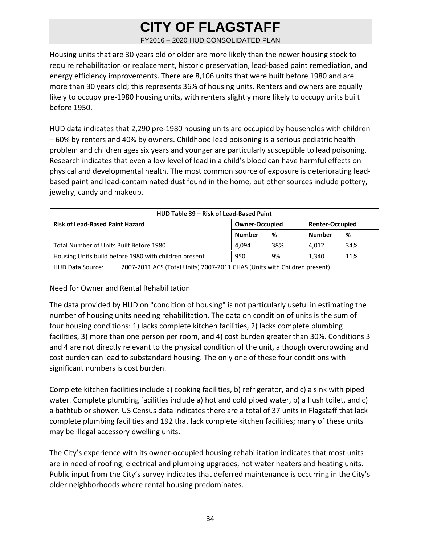FY2016 – 2020 HUD CONSOLIDATED PLAN

Housing units that are 30 years old or older are more likely than the newer housing stock to require rehabilitation or replacement, historic preservation, lead‐based paint remediation, and energy efficiency improvements. There are 8,106 units that were built before 1980 and are more than 30 years old; this represents 36% of housing units. Renters and owners are equally likely to occupy pre‐1980 housing units, with renters slightly more likely to occupy units built before 1950.

HUD data indicates that 2,290 pre‐1980 housing units are occupied by households with children – 60% by renters and 40% by owners. Childhood lead poisoning is a serious pediatric health problem and children ages six years and younger are particularly susceptible to lead poisoning. Research indicates that even a low level of lead in a child's blood can have harmful effects on physical and developmental health. The most common source of exposure is deteriorating lead‐ based paint and lead‐contaminated dust found in the home, but other sources include pottery, jewelry, candy and makeup.

| HUD Table 39 – Risk of Lead-Based Paint               |                       |     |                        |     |  |  |  |  |
|-------------------------------------------------------|-----------------------|-----|------------------------|-----|--|--|--|--|
| <b>Risk of Lead-Based Paint Hazard</b>                | <b>Owner-Occupied</b> |     | <b>Renter-Occupied</b> |     |  |  |  |  |
|                                                       | Number                | %   | <b>Number</b>          | %   |  |  |  |  |
| Total Number of Units Built Before 1980               | 4.094                 | 38% | 4.012                  | 34% |  |  |  |  |
| Housing Units build before 1980 with children present | 950                   | 9%  | 1,340                  | 11% |  |  |  |  |

HUD Data Source: 2007‐2011 ACS (Total Units) 2007‐2011 CHAS (Units with Children present)

#### Need for Owner and Rental Rehabilitation

The data provided by HUD on "condition of housing" is not particularly useful in estimating the number of housing units needing rehabilitation. The data on condition of units is the sum of four housing conditions: 1) lacks complete kitchen facilities, 2) lacks complete plumbing facilities, 3) more than one person per room, and 4) cost burden greater than 30%. Conditions 3 and 4 are not directly relevant to the physical condition of the unit, although overcrowding and cost burden can lead to substandard housing. The only one of these four conditions with significant numbers is cost burden.

Complete kitchen facilities include a) cooking facilities, b) refrigerator, and c) a sink with piped water. Complete plumbing facilities include a) hot and cold piped water, b) a flush toilet, and c) a bathtub or shower. US Census data indicates there are a total of 37 units in Flagstaff that lack complete plumbing facilities and 192 that lack complete kitchen facilities; many of these units may be illegal accessory dwelling units.

The City's experience with its owner-occupied housing rehabilitation indicates that most units are in need of roofing, electrical and plumbing upgrades, hot water heaters and heating units. Public input from the City's survey indicates that deferred maintenance is occurring in the City's older neighborhoods where rental housing predominates.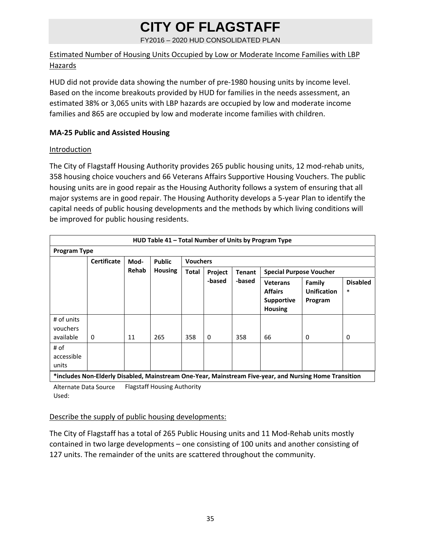FY2016 – 2020 HUD CONSOLIDATED PLAN

### Estimated Number of Housing Units Occupied by Low or Moderate Income Families with LBP **Hazards**

HUD did not provide data showing the number of pre-1980 housing units by income level. Based on the income breakouts provided by HUD for families in the needs assessment, an estimated 38% or 3,065 units with LBP hazards are occupied by low and moderate income families and 865 are occupied by low and moderate income families with children.

### **MA‐25 Public and Assisted Housing**

### **Introduction**

The City of Flagstaff Housing Authority provides 265 public housing units, 12 mod‐rehab units, 358 housing choice vouchers and 66 Veterans Affairs Supportive Housing Vouchers. The public housing units are in good repair as the Housing Authority follows a system of ensuring that all major systems are in good repair. The Housing Authority develops a 5‐year Plan to identify the capital needs of public housing developments and the methods by which living conditions will be improved for public housing residents.

|                                     | HUD Table 41 - Total Number of Units by Program Type           |              |                |              |                          |        |                                                                                                         |                                         |                           |  |
|-------------------------------------|----------------------------------------------------------------|--------------|----------------|--------------|--------------------------|--------|---------------------------------------------------------------------------------------------------------|-----------------------------------------|---------------------------|--|
|                                     | <b>Program Type</b>                                            |              |                |              |                          |        |                                                                                                         |                                         |                           |  |
|                                     | <b>Certificate</b><br><b>Public</b><br><b>Vouchers</b><br>Mod- |              |                |              |                          |        |                                                                                                         |                                         |                           |  |
|                                     |                                                                | <b>Rehab</b> | <b>Housing</b> | <b>Total</b> | <b>Tenant</b><br>Project |        |                                                                                                         | <b>Special Purpose Voucher</b>          |                           |  |
|                                     |                                                                |              |                |              | -based                   | -based | <b>Veterans</b><br><b>Affairs</b><br><b>Supportive</b><br><b>Housing</b>                                | Family<br><b>Unification</b><br>Program | <b>Disabled</b><br>$\ast$ |  |
| # of units<br>vouchers<br>available | 0                                                              | 11           | 265            | 358          | 0                        | 358    | 66                                                                                                      | $\Omega$                                | 0                         |  |
| # of<br>accessible<br>units         |                                                                |              |                |              |                          |        | tinghudes Nan Fldeyly Disabled, Mainstream One Veau, Mainstream Five year, and Nursing Hame Transition, |                                         |                           |  |

**\*includes Non‐Elderly Disabled, Mainstream One‐Year, Mainstream Five‐year, and Nursing Home Transition**

Alternate Data Source Flagstaff Housing Authority Used:

### Describe the supply of public housing developments:

The City of Flagstaff has a total of 265 Public Housing units and 11 Mod‐Rehab units mostly contained in two large developments – one consisting of 100 units and another consisting of 127 units. The remainder of the units are scattered throughout the community.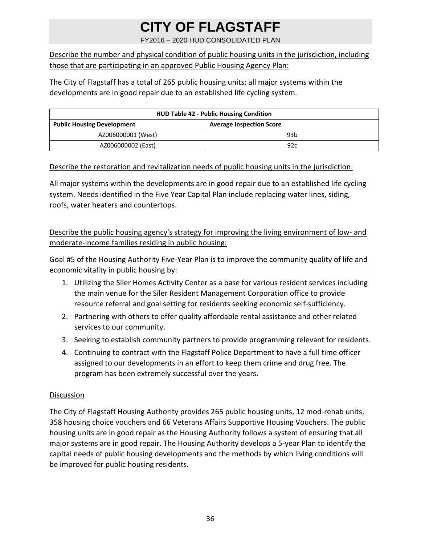FY2016 – 2020 HUD CONSOLIDATED PLAN

Describe the number and physical condition of public housing units in the jurisdiction, including those that are participating in an approved Public Housing Agency Plan:

The City of Flagstaff has a total of 265 public housing units; all major systems within the developments are in good repair due to an established life cycling system.

| <b>HUD Table 42 - Public Housing Condition</b> |                                 |  |  |  |  |
|------------------------------------------------|---------------------------------|--|--|--|--|
| <b>Public Housing Development</b>              | <b>Average Inspection Score</b> |  |  |  |  |
| AZ006000001 (West)                             | 93 <sub>b</sub>                 |  |  |  |  |
| AZ006000002 (East)                             | 92c                             |  |  |  |  |

### Describe the restoration and revitalization needs of public housing units in the jurisdiction:

All major systems within the developments are in good repair due to an established life cycling system. Needs identified in the Five Year Capital Plan include replacing water lines, siding, roofs, water heaters and countertops.

Describe the public housing agency's strategy for improving the living environment of low- and moderate‐income families residing in public housing:

Goal #5 of the Housing Authority Five‐Year Plan is to improve the community quality of life and economic vitality in public housing by:

- 1. Utilizing the Siler Homes Activity Center as a base for various resident services including the main venue for the Siler Resident Management Corporation office to provide resource referral and goal setting for residents seeking economic self‐sufficiency.
- 2. Partnering with others to offer quality affordable rental assistance and other related services to our community.
- 3. Seeking to establish community partners to provide programming relevant for residents.
- 4. Continuing to contract with the Flagstaff Police Department to have a full time officer assigned to our developments in an effort to keep them crime and drug free. The program has been extremely successful over the years.

#### Discussion

The City of Flagstaff Housing Authority provides 265 public housing units, 12 mod-rehab units, 358 housing choice vouchers and 66 Veterans Affairs Supportive Housing Vouchers. The public housing units are in good repair as the Housing Authority follows a system of ensuring that all major systems are in good repair. The Housing Authority develops a 5‐year Plan to identify the capital needs of public housing developments and the methods by which living conditions will be improved for public housing residents.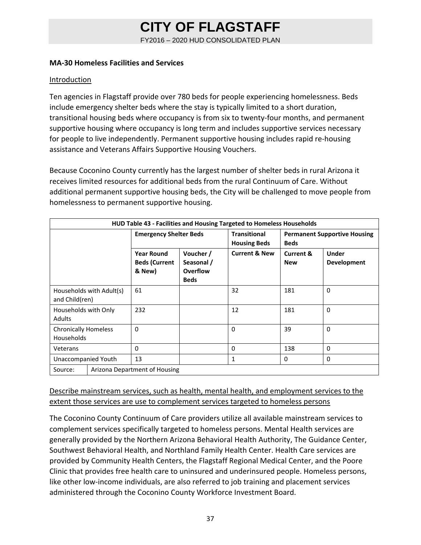FY2016 – 2020 HUD CONSOLIDATED PLAN

#### **MA‐30 Homeless Facilities and Services**

#### Introduction

Ten agencies in Flagstaff provide over 780 beds for people experiencing homelessness. Beds include emergency shelter beds where the stay is typically limited to a short duration, transitional housing beds where occupancy is from six to twenty‐four months, and permanent supportive housing where occupancy is long term and includes supportive services necessary for people to live independently. Permanent supportive housing includes rapid re‐housing assistance and Veterans Affairs Supportive Housing Vouchers.

Because Coconino County currently has the largest number of shelter beds in rural Arizona it receives limited resources for additional beds from the rural Continuum of Care. Without additional permanent supportive housing beds, the City will be challenged to move people from homelessness to permanent supportive housing.

| HUD Table 43 - Facilities and Housing Targeted to Homeless Households |  |                                                     |                                                    |                                            |                                                    |                                    |
|-----------------------------------------------------------------------|--|-----------------------------------------------------|----------------------------------------------------|--------------------------------------------|----------------------------------------------------|------------------------------------|
|                                                                       |  | <b>Emergency Shelter Beds</b>                       |                                                    | <b>Transitional</b><br><b>Housing Beds</b> | <b>Permanent Supportive Housing</b><br><b>Beds</b> |                                    |
|                                                                       |  | <b>Year Round</b><br><b>Beds (Current</b><br>& New) | Voucher /<br>Seasonal /<br>Overflow<br><b>Beds</b> | <b>Current &amp; New</b>                   | <b>Current &amp;</b><br><b>New</b>                 | <b>Under</b><br><b>Development</b> |
| Households with Adult(s)<br>and Child(ren)                            |  | 61                                                  |                                                    | 32                                         | 181                                                | $\Omega$                           |
| Households with Only<br><b>Adults</b>                                 |  | 232                                                 |                                                    | 12                                         | 181                                                | $\Omega$                           |
| <b>Chronically Homeless</b><br><b>Households</b>                      |  | $\Omega$                                            |                                                    | $\Omega$                                   | 39                                                 | $\Omega$                           |
| Veterans                                                              |  | $\Omega$                                            |                                                    | $\mathbf{0}$                               | 138                                                | $\Omega$                           |
| Unaccompanied Youth                                                   |  | 13                                                  |                                                    | 1                                          | 0                                                  | 0                                  |
| Source:                                                               |  | Arizona Department of Housing                       |                                                    |                                            |                                                    |                                    |

### Describe mainstream services, such as health, mental health, and employment services to the extent those services are use to complement services targeted to homeless persons

The Coconino County Continuum of Care providers utilize all available mainstream services to complement services specifically targeted to homeless persons. Mental Health services are generally provided by the Northern Arizona Behavioral Health Authority, The Guidance Center, Southwest Behavioral Health, and Northland Family Health Center. Health Care services are provided by Community Health Centers, the Flagstaff Regional Medical Center, and the Poore Clinic that provides free health care to uninsured and underinsured people. Homeless persons, like other low-income individuals, are also referred to job training and placement services administered through the Coconino County Workforce Investment Board.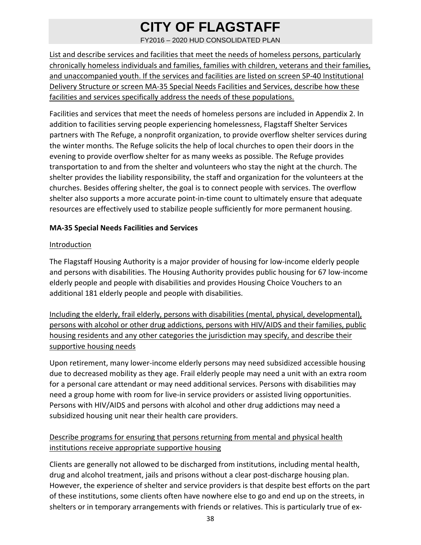FY2016 – 2020 HUD CONSOLIDATED PLAN

List and describe services and facilities that meet the needs of homeless persons, particularly chronically homeless individuals and families, families with children, veterans and their families, and unaccompanied youth. If the services and facilities are listed on screen SP‐40 Institutional Delivery Structure or screen MA-35 Special Needs Facilities and Services, describe how these facilities and services specifically address the needs of these populations.

Facilities and services that meet the needs of homeless persons are included in Appendix 2. In addition to facilities serving people experiencing homelessness, Flagstaff Shelter Services partners with The Refuge, a nonprofit organization, to provide overflow shelter services during the winter months. The Refuge solicits the help of local churches to open their doors in the evening to provide overflow shelter for as many weeks as possible. The Refuge provides transportation to and from the shelter and volunteers who stay the night at the church. The shelter provides the liability responsibility, the staff and organization for the volunteers at the churches. Besides offering shelter, the goal is to connect people with services. The overflow shelter also supports a more accurate point‐in‐time count to ultimately ensure that adequate resources are effectively used to stabilize people sufficiently for more permanent housing.

### **MA‐35 Special Needs Facilities and Services**

#### Introduction

The Flagstaff Housing Authority is a major provider of housing for low‐income elderly people and persons with disabilities. The Housing Authority provides public housing for 67 low‐income elderly people and people with disabilities and provides Housing Choice Vouchers to an additional 181 elderly people and people with disabilities.

Including the elderly, frail elderly, persons with disabilities (mental, physical, developmental), persons with alcohol or other drug addictions, persons with HIV/AIDS and their families, public housing residents and any other categories the jurisdiction may specify, and describe their supportive housing needs

Upon retirement, many lower‐income elderly persons may need subsidized accessible housing due to decreased mobility as they age. Frail elderly people may need a unit with an extra room for a personal care attendant or may need additional services. Persons with disabilities may need a group home with room for live‐in service providers or assisted living opportunities. Persons with HIV/AIDS and persons with alcohol and other drug addictions may need a subsidized housing unit near their health care providers.

### Describe programs for ensuring that persons returning from mental and physical health institutions receive appropriate supportive housing

Clients are generally not allowed to be discharged from institutions, including mental health, drug and alcohol treatment, jails and prisons without a clear post‐discharge housing plan. However, the experience of shelter and service providers is that despite best efforts on the part of these institutions, some clients often have nowhere else to go and end up on the streets, in shelters or in temporary arrangements with friends or relatives. This is particularly true of ex‐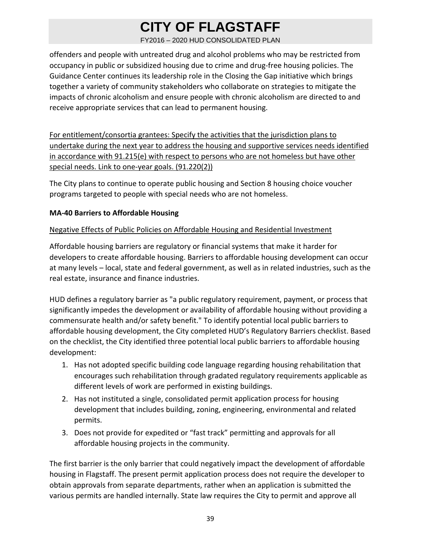FY2016 – 2020 HUD CONSOLIDATED PLAN

offenders and people with untreated drug and alcohol problems who may be restricted from occupancy in public or subsidized housing due to crime and drug‐free housing policies. The Guidance Center continues its leadership role in the Closing the Gap initiative which brings together a variety of community stakeholders who collaborate on strategies to mitigate the impacts of chronic alcoholism and ensure people with chronic alcoholism are directed to and receive appropriate services that can lead to permanent housing.

For entitlement/consortia grantees: Specify the activities that the jurisdiction plans to undertake during the next year to address the housing and supportive services needs identified in accordance with 91.215(e) with respect to persons who are not homeless but have other special needs. Link to one-year goals. (91.220(2))

The City plans to continue to operate public housing and Section 8 housing choice voucher programs targeted to people with special needs who are not homeless.

### **MA‐40 Barriers to Affordable Housing**

### Negative Effects of Public Policies on Affordable Housing and Residential Investment

Affordable housing barriers are regulatory or financial systems that make it harder for developers to create affordable housing. Barriers to affordable housing development can occur at many levels – local, state and federal government, as well as in related industries, such as the real estate, insurance and finance industries.

HUD defines a regulatory barrier as "a public regulatory requirement, payment, or process that significantly impedes the development or availability of affordable housing without providing a commensurate health and/or safety benefit." To identify potential local public barriers to affordable housing development, the City completed HUD's Regulatory Barriers checklist. Based on the checklist, the City identified three potential local public barriers to affordable housing development:

- 1. Has not adopted specific building code language regarding housing rehabilitation that encourages such rehabilitation through gradated regulatory requirements applicable as different levels of work are performed in existing buildings.
- 2. Has not instituted a single, consolidated permit application process for housing development that includes building, zoning, engineering, environmental and related permits.
- 3. Does not provide for expedited or "fast track" permitting and approvals for all affordable housing projects in the community.

The first barrier is the only barrier that could negatively impact the development of affordable housing in Flagstaff. The present permit application process does not require the developer to obtain approvals from separate departments, rather when an application is submitted the various permits are handled internally. State law requires the City to permit and approve all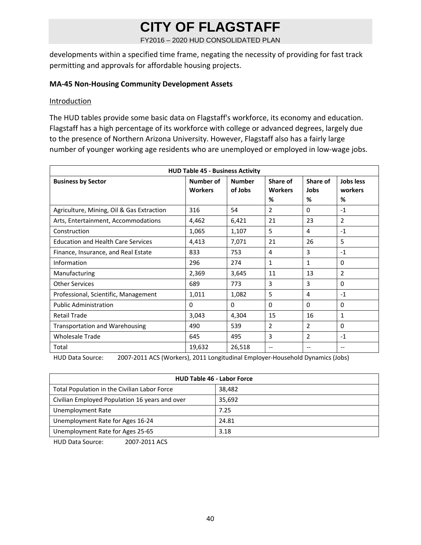FY2016 – 2020 HUD CONSOLIDATED PLAN

developments within a specified time frame, negating the necessity of providing for fast track permitting and approvals for affordable housing projects.

#### **MA‐45 Non‐Housing Community Development Assets**

#### **Introduction**

The HUD tables provide some basic data on Flagstaff's workforce, its economy and education. Flagstaff has a high percentage of its workforce with college or advanced degrees, largely due to the presence of Northern Arizona University. However, Flagstaff also has a fairly large number of younger working age residents who are unemployed or employed in low‐wage jobs.

| <b>HUD Table 45 - Business Activity</b>   |                             |                          |                                 |                       |                           |  |
|-------------------------------------------|-----------------------------|--------------------------|---------------------------------|-----------------------|---------------------------|--|
| <b>Business by Sector</b>                 | Number of<br><b>Workers</b> | <b>Number</b><br>of Jobs | Share of<br><b>Workers</b><br>% | Share of<br>Jobs<br>% | Jobs less<br>workers<br>% |  |
| Agriculture, Mining, Oil & Gas Extraction | 316                         | 54                       | $\overline{2}$                  | $\Omega$              | $-1$                      |  |
| Arts, Entertainment, Accommodations       | 4,462                       | 6,421                    | 21                              | 23                    | 2                         |  |
| Construction                              | 1,065                       | 1,107                    | 5                               | 4                     | $-1$                      |  |
| <b>Education and Health Care Services</b> | 4,413                       | 7,071                    | 21                              | 26                    | 5                         |  |
| Finance, Insurance, and Real Estate       | 833                         | 753                      | 4                               | 3                     | $-1$                      |  |
| Information                               | 296                         | 274                      | 1                               | $\mathbf{1}$          | $\Omega$                  |  |
| Manufacturing                             | 2,369                       | 3,645                    | 11                              | 13                    | 2                         |  |
| <b>Other Services</b>                     | 689                         | 773                      | 3                               | 3                     | $\Omega$                  |  |
| Professional, Scientific, Management      | 1,011                       | 1,082                    | 5                               | 4                     | $-1$                      |  |
| <b>Public Administration</b>              | 0                           | $\Omega$                 | 0                               | $\Omega$              | 0                         |  |
| <b>Retail Trade</b>                       | 3,043                       | 4,304                    | 15                              | 16                    | 1                         |  |
| <b>Transportation and Warehousing</b>     | 490                         | 539                      | $\overline{2}$                  | 2                     | $\Omega$                  |  |
| <b>Wholesale Trade</b>                    | 645                         | 495                      | 3                               | $\overline{2}$        | $-1$                      |  |
| Total                                     | 19,632                      | 26,518                   | $\overline{\phantom{a}}$        | --                    | --                        |  |

HUD Data Source: 2007‐2011 ACS (Workers), 2011 Longitudinal Employer‐Household Dynamics (Jobs)

| <b>HUD Table 46 - Labor Force</b>              |        |  |  |
|------------------------------------------------|--------|--|--|
| Total Population in the Civilian Labor Force   | 38,482 |  |  |
| Civilian Employed Population 16 years and over | 35,692 |  |  |
| <b>Unemployment Rate</b>                       | 7.25   |  |  |
| Unemployment Rate for Ages 16-24               | 24.81  |  |  |
| Unemployment Rate for Ages 25-65               | 3.18   |  |  |

HUD Data Source: 2007‐2011 ACS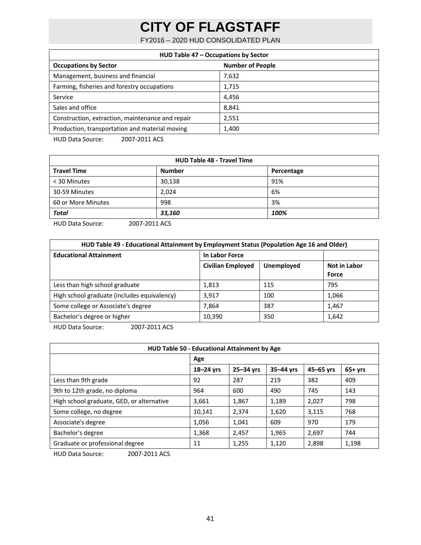FY2016 – 2020 HUD CONSOLIDATED PLAN

| HUD Table 47 - Occupations by Sector             |                         |  |  |  |
|--------------------------------------------------|-------------------------|--|--|--|
| <b>Occupations by Sector</b>                     | <b>Number of People</b> |  |  |  |
| Management, business and financial               | 7,632                   |  |  |  |
| Farming, fisheries and forestry occupations      | 1,715                   |  |  |  |
| Service                                          | 4,456                   |  |  |  |
| Sales and office                                 | 8.841                   |  |  |  |
| Construction, extraction, maintenance and repair | 2,551                   |  |  |  |
| Production, transportation and material moving   | 1,400                   |  |  |  |
|                                                  |                         |  |  |  |

HUD Data Source: 2007-2011 ACS

| <b>HUD Table 48 - Travel Time</b> |               |            |  |  |  |
|-----------------------------------|---------------|------------|--|--|--|
| <b>Travel Time</b>                | <b>Number</b> | Percentage |  |  |  |
| < 30 Minutes                      | 30,138        | 91%        |  |  |  |
| 30-59 Minutes                     | 2,024         | 6%         |  |  |  |
| 60 or More Minutes                | 998           | 3%         |  |  |  |
| <b>Total</b>                      | 33,160        | 100%       |  |  |  |
| $\cdots$                          |               |            |  |  |  |

HUD Data Source: 2007‐2011 ACS

| HUD Table 49 - Educational Attainment by Employment Status (Population Age 16 and Older) |                          |                   |                       |  |  |  |
|------------------------------------------------------------------------------------------|--------------------------|-------------------|-----------------------|--|--|--|
| <b>Educational Attainment</b>                                                            | In Labor Force           |                   |                       |  |  |  |
|                                                                                          | <b>Civilian Employed</b> | <b>Unemployed</b> | Not in Labor<br>Force |  |  |  |
| Less than high school graduate                                                           | 1,813                    | 115               | 795                   |  |  |  |
| High school graduate (includes equivalency)                                              | 3.917                    | 100               | 1,066                 |  |  |  |
| Some college or Associate's degree                                                       | 7.864                    | 387               | 1,467                 |  |  |  |
| Bachelor's degree or higher                                                              | 10,390                   | 350               | 1,642                 |  |  |  |
| $\cdots$<br>,,,,,,,,,,,,,,                                                               |                          |                   |                       |  |  |  |

HUD Data Source: 2007‐2011 ACS

| HUD Table 50 - Educational Attainment by Age |               |           |           |           |          |  |  |
|----------------------------------------------|---------------|-----------|-----------|-----------|----------|--|--|
|                                              | Age           |           |           |           |          |  |  |
|                                              | $18 - 24$ yrs | 25-34 yrs | 35-44 yrs | 45-65 yrs | $65+yrs$ |  |  |
| Less than 9th grade                          | 92            | 287       | 219       | 382       | 409      |  |  |
| 9th to 12th grade, no diploma                | 964           | 600       | 490       | 745       | 143      |  |  |
| High school graduate, GED, or alternative    | 3,661         | 1,867     | 1,189     | 2,027     | 798      |  |  |
| Some college, no degree                      | 10,141        | 2,374     | 1,620     | 3,115     | 768      |  |  |
| Associate's degree                           | 1,056         | 1,041     | 609       | 970       | 179      |  |  |
| Bachelor's degree                            | 1,368         | 2,457     | 1,965     | 2,697     | 744      |  |  |
| Graduate or professional degree              | 11            | 1,255     | 1,120     | 2,898     | 1,198    |  |  |
| ,,,,,,,,,,,,,,<br>$\blacksquare$             |               |           |           |           |          |  |  |

HUD Data Source: 2007‐2011 ACS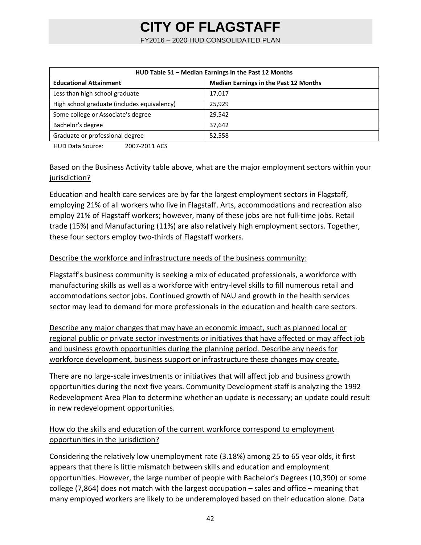FY2016 – 2020 HUD CONSOLIDATED PLAN

| HUD Table 51 - Median Earnings in the Past 12 Months                          |        |  |  |  |
|-------------------------------------------------------------------------------|--------|--|--|--|
| <b>Median Earnings in the Past 12 Months</b><br><b>Educational Attainment</b> |        |  |  |  |
| Less than high school graduate                                                | 17,017 |  |  |  |
| High school graduate (includes equivalency)                                   | 25.929 |  |  |  |
| Some college or Associate's degree                                            | 29,542 |  |  |  |
| Bachelor's degree                                                             | 37,642 |  |  |  |
| Graduate or professional degree<br>52,558                                     |        |  |  |  |

HUD Data Source: 2007‐2011 ACS

### Based on the Business Activity table above, what are the major employment sectors within your jurisdiction?

Education and health care services are by far the largest employment sectors in Flagstaff, employing 21% of all workers who live in Flagstaff. Arts, accommodations and recreation also employ 21% of Flagstaff workers; however, many of these jobs are not full‐time jobs. Retail trade (15%) and Manufacturing (11%) are also relatively high employment sectors. Together, these four sectors employ two‐thirds of Flagstaff workers.

### Describe the workforce and infrastructure needs of the business community:

Flagstaff's business community is seeking a mix of educated professionals, a workforce with manufacturing skills as well as a workforce with entry‐level skills to fill numerous retail and accommodations sector jobs. Continued growth of NAU and growth in the health services sector may lead to demand for more professionals in the education and health care sectors.

Describe any major changes that may have an economic impact, such as planned local or regional public or private sector investments or initiatives that have affected or may affect job and business growth opportunities during the planning period. Describe any needs for workforce development, business support or infrastructure these changes may create.

There are no large‐scale investments or initiatives that will affect job and business growth opportunities during the next five years. Community Development staff is analyzing the 1992 Redevelopment Area Plan to determine whether an update is necessary; an update could result in new redevelopment opportunities.

### How do the skills and education of the current workforce correspond to employment opportunities in the jurisdiction?

Considering the relatively low unemployment rate (3.18%) among 25 to 65 year olds, it first appears that there is little mismatch between skills and education and employment opportunities. However, the large number of people with Bachelor's Degrees (10,390) or some college (7,864) does not match with the largest occupation – sales and office – meaning that many employed workers are likely to be underemployed based on their education alone. Data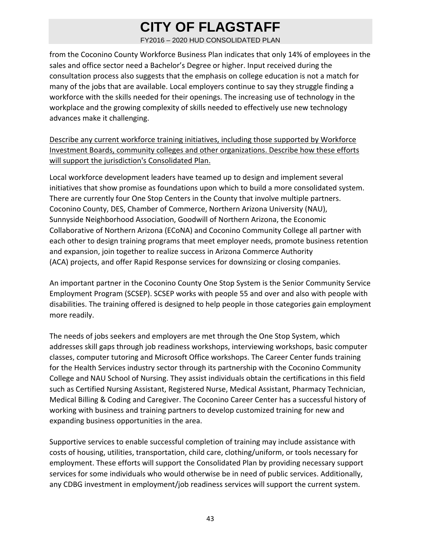FY2016 – 2020 HUD CONSOLIDATED PLAN

from the Coconino County Workforce Business Plan indicates that only 14% of employees in the sales and office sector need a Bachelor's Degree or higher. Input received during the consultation process also suggests that the emphasis on college education is not a match for many of the jobs that are available. Local employers continue to say they struggle finding a workforce with the skills needed for their openings. The increasing use of technology in the workplace and the growing complexity of skills needed to effectively use new technology advances make it challenging.

Describe any current workforce training initiatives, including those supported by Workforce Investment Boards, community colleges and other organizations. Describe how these efforts will support the jurisdiction's Consolidated Plan.

Local workforce development leaders have teamed up to design and implement several initiatives that show promise as foundations upon which to build a more consolidated system. There are currently four One Stop Centers in the County that involve multiple partners. Coconino County, DES, Chamber of Commerce, Northern Arizona University (NAU), Sunnyside Neighborhood Association, Goodwill of Northern Arizona, the Economic Collaborative of Northern Arizona (ECoNA) and Coconino Community College all partner with each other to design training programs that meet employer needs, promote business retention and expansion, join together to realize success in Arizona Commerce Authority (ACA) projects, and offer Rapid Response services for downsizing or closing companies.

An important partner in the Coconino County One Stop System is the Senior Community Service Employment Program (SCSEP). SCSEP works with people 55 and over and also with people with disabilities. The training offered is designed to help people in those categories gain employment more readily.

The needs of jobs seekers and employers are met through the One Stop System, which addresses skill gaps through job readiness workshops, interviewing workshops, basic computer classes, computer tutoring and Microsoft Office workshops. The Career Center funds training for the Health Services industry sector through its partnership with the Coconino Community College and NAU School of Nursing. They assist individuals obtain the certifications in this field such as Certified Nursing Assistant, Registered Nurse, Medical Assistant, Pharmacy Technician, Medical Billing & Coding and Caregiver. The Coconino Career Center has a successful history of working with business and training partners to develop customized training for new and expanding business opportunities in the area.

Supportive services to enable successful completion of training may include assistance with costs of housing, utilities, transportation, child care, clothing/uniform, or tools necessary for employment. These efforts will support the Consolidated Plan by providing necessary support services for some individuals who would otherwise be in need of public services. Additionally, any CDBG investment in employment/job readiness services will support the current system.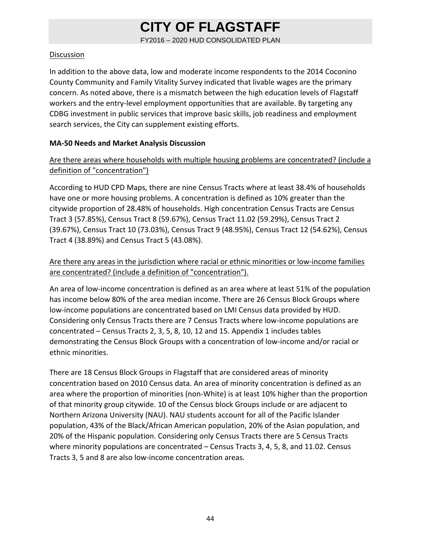FY2016 – 2020 HUD CONSOLIDATED PLAN

#### Discussion

In addition to the above data, low and moderate income respondents to the 2014 Coconino County Community and Family Vitality Survey indicated that livable wages are the primary concern. As noted above, there is a mismatch between the high education levels of Flagstaff workers and the entry-level employment opportunities that are available. By targeting any CDBG investment in public services that improve basic skills, job readiness and employment search services, the City can supplement existing efforts.

### **MA‐50 Needs and Market Analysis Discussion**

### Are there areas where households with multiple housing problems are concentrated? (include a definition of "concentration")

According to HUD CPD Maps, there are nine Census Tracts where at least 38.4% of households have one or more housing problems. A concentration is defined as 10% greater than the citywide proportion of 28.48% of households. High concentration Census Tracts are Census Tract 3 (57.85%), Census Tract 8 (59.67%), Census Tract 11.02 (59.29%), Census Tract 2 (39.67%), Census Tract 10 (73.03%), Census Tract 9 (48.95%), Census Tract 12 (54.62%), Census Tract 4 (38.89%) and Census Tract 5 (43.08%).

### Are there any areas in the jurisdiction where racial or ethnic minorities or low‐income families are concentrated? (include a definition of "concentration").

An area of low‐income concentration is defined as an area where at least 51% of the population has income below 80% of the area median income. There are 26 Census Block Groups where low‐income populations are concentrated based on LMI Census data provided by HUD. Considering only Census Tracts there are 7 Census Tracts where low‐income populations are concentrated – Census Tracts 2, 3, 5, 8, 10, 12 and 15. Appendix 1 includes tables demonstrating the Census Block Groups with a concentration of low‐income and/or racial or ethnic minorities.

There are 18 Census Block Groups in Flagstaff that are considered areas of minority concentration based on 2010 Census data. An area of minority concentration is defined as an area where the proportion of minorities (non‐White) is at least 10% higher than the proportion of that minority group citywide. 10 of the Census block Groups include or are adjacent to Northern Arizona University (NAU). NAU students account for all of the Pacific Islander population, 43% of the Black/African American population, 20% of the Asian population, and 20% of the Hispanic population. Considering only Census Tracts there are 5 Census Tracts where minority populations are concentrated – Census Tracts 3, 4, 5, 8, and 11.02. Census Tracts 3, 5 and 8 are also low‐income concentration areas.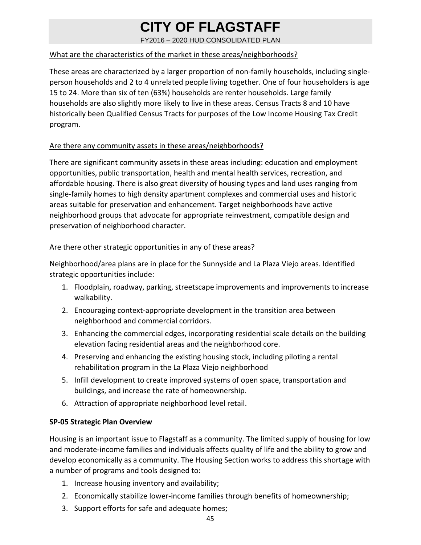FY2016 – 2020 HUD CONSOLIDATED PLAN

#### What are the characteristics of the market in these areas/neighborhoods?

These areas are characterized by a larger proportion of non‐family households, including single‐ person households and 2 to 4 unrelated people living together. One of four householders is age 15 to 24. More than six of ten (63%) households are renter households. Large family households are also slightly more likely to live in these areas. Census Tracts 8 and 10 have historically been Qualified Census Tracts for purposes of the Low Income Housing Tax Credit program.

#### Are there any community assets in these areas/neighborhoods?

There are significant community assets in these areas including: education and employment opportunities, public transportation, health and mental health services, recreation, and affordable housing. There is also great diversity of housing types and land uses ranging from single‐family homes to high density apartment complexes and commercial uses and historic areas suitable for preservation and enhancement. Target neighborhoods have active neighborhood groups that advocate for appropriate reinvestment, compatible design and preservation of neighborhood character.

#### Are there other strategic opportunities in any of these areas?

Neighborhood/area plans are in place for the Sunnyside and La Plaza Viejo areas. Identified strategic opportunities include:

- 1. Floodplain, roadway, parking, streetscape improvements and improvements to increase walkability.
- 2. Encouraging context‐appropriate development in the transition area between neighborhood and commercial corridors.
- 3. Enhancing the commercial edges, incorporating residential scale details on the building elevation facing residential areas and the neighborhood core.
- 4. Preserving and enhancing the existing housing stock, including piloting a rental rehabilitation program in the La Plaza Viejo neighborhood
- 5. Infill development to create improved systems of open space, transportation and buildings, and increase the rate of homeownership.
- 6. Attraction of appropriate neighborhood level retail.

### **SP‐05 Strategic Plan Overview**

Housing is an important issue to Flagstaff as a community. The limited supply of housing for low and moderate‐income families and individuals affects quality of life and the ability to grow and develop economically as a community. The Housing Section works to address this shortage with a number of programs and tools designed to:

- 1. Increase housing inventory and availability;
- 2. Economically stabilize lower-income families through benefits of homeownership;
- 3. Support efforts for safe and adequate homes;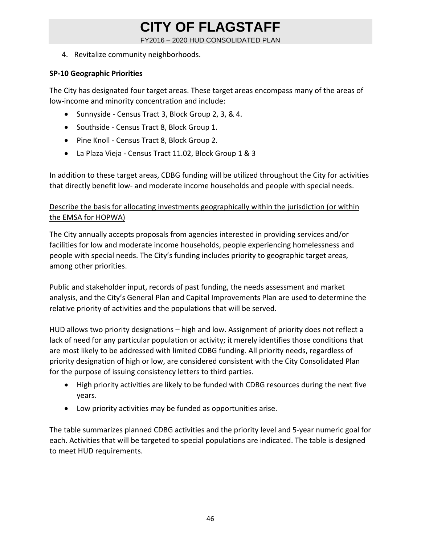FY2016 – 2020 HUD CONSOLIDATED PLAN

4. Revitalize community neighborhoods.

#### **SP‐10 Geographic Priorities**

The City has designated four target areas. These target areas encompass many of the areas of low‐income and minority concentration and include:

- Sunnyside Census Tract 3, Block Group 2, 3, & 4.
- Southside Census Tract 8, Block Group 1.
- Pine Knoll Census Tract 8, Block Group 2.
- La Plaza Vieja ‐ Census Tract 11.02, Block Group 1 & 3

In addition to these target areas, CDBG funding will be utilized throughout the City for activities that directly benefit low‐ and moderate income households and people with special needs.

### Describe the basis for allocating investments geographically within the jurisdiction (or within the EMSA for HOPWA)

The City annually accepts proposals from agencies interested in providing services and/or facilities for low and moderate income households, people experiencing homelessness and people with special needs. The City's funding includes priority to geographic target areas, among other priorities.

Public and stakeholder input, records of past funding, the needs assessment and market analysis, and the City's General Plan and Capital Improvements Plan are used to determine the relative priority of activities and the populations that will be served.

HUD allows two priority designations – high and low. Assignment of priority does not reflect a lack of need for any particular population or activity; it merely identifies those conditions that are most likely to be addressed with limited CDBG funding. All priority needs, regardless of priority designation of high or low, are considered consistent with the City Consolidated Plan for the purpose of issuing consistency letters to third parties.

- High priority activities are likely to be funded with CDBG resources during the next five years.
- Low priority activities may be funded as opportunities arise.

The table summarizes planned CDBG activities and the priority level and 5‐year numeric goal for each. Activities that will be targeted to special populations are indicated. The table is designed to meet HUD requirements.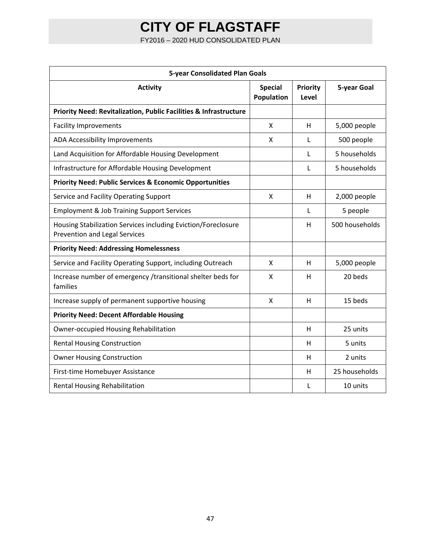FY2016 – 2020 HUD CONSOLIDATED PLAN

| <b>5-year Consolidated Plan Goals</b>                                                                 |                              |                   |                |  |  |
|-------------------------------------------------------------------------------------------------------|------------------------------|-------------------|----------------|--|--|
| <b>Activity</b>                                                                                       | <b>Special</b><br>Population | Priority<br>Level | 5-year Goal    |  |  |
| Priority Need: Revitalization, Public Facilities & Infrastructure                                     |                              |                   |                |  |  |
| <b>Facility Improvements</b>                                                                          | X                            | H                 | 5,000 people   |  |  |
| ADA Accessibility Improvements                                                                        | X                            | L                 | 500 people     |  |  |
| Land Acquisition for Affordable Housing Development                                                   |                              | L                 | 5 households   |  |  |
| Infrastructure for Affordable Housing Development                                                     |                              | L                 | 5 households   |  |  |
| <b>Priority Need: Public Services &amp; Economic Opportunities</b>                                    |                              |                   |                |  |  |
| Service and Facility Operating Support                                                                | X                            | H                 | 2,000 people   |  |  |
| <b>Employment &amp; Job Training Support Services</b>                                                 |                              | L                 | 5 people       |  |  |
| Housing Stabilization Services including Eviction/Foreclosure<br><b>Prevention and Legal Services</b> |                              | H                 | 500 households |  |  |
| <b>Priority Need: Addressing Homelessness</b>                                                         |                              |                   |                |  |  |
| Service and Facility Operating Support, including Outreach                                            | X                            | H                 | 5,000 people   |  |  |
| Increase number of emergency /transitional shelter beds for<br>families                               | X                            | H                 | 20 beds        |  |  |
| Increase supply of permanent supportive housing                                                       | $\mathsf{x}$                 | H                 | 15 beds        |  |  |
| <b>Priority Need: Decent Affordable Housing</b>                                                       |                              |                   |                |  |  |
| <b>Owner-occupied Housing Rehabilitation</b>                                                          |                              | H                 | 25 units       |  |  |
| <b>Rental Housing Construction</b>                                                                    |                              | H                 | 5 units        |  |  |
| <b>Owner Housing Construction</b>                                                                     |                              | Н                 | 2 units        |  |  |
| First-time Homebuyer Assistance                                                                       |                              | H                 | 25 households  |  |  |
| Rental Housing Rehabilitation                                                                         |                              | L                 | 10 units       |  |  |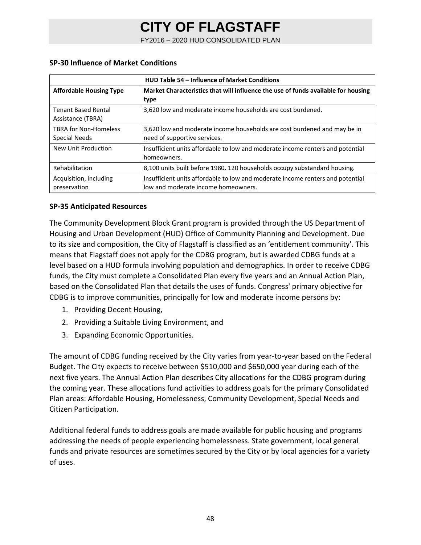FY2016 – 2020 HUD CONSOLIDATED PLAN

| <b>HUD Table 54 - Influence of Market Conditions</b> |                                                                                                                       |  |  |  |
|------------------------------------------------------|-----------------------------------------------------------------------------------------------------------------------|--|--|--|
| <b>Affordable Housing Type</b>                       | Market Characteristics that will influence the use of funds available for housing<br>type                             |  |  |  |
| <b>Tenant Based Rental</b><br>Assistance (TBRA)      | 3.620 low and moderate income households are cost burdened.                                                           |  |  |  |
| <b>TBRA for Non-Homeless</b><br>Special Needs        | 3,620 low and moderate income households are cost burdened and may be in<br>need of supportive services.              |  |  |  |
| New Unit Production                                  | Insufficient units affordable to low and moderate income renters and potential<br>homeowners.                         |  |  |  |
| Rehabilitation                                       | 8,100 units built before 1980. 120 households occupy substandard housing.                                             |  |  |  |
| Acquisition, including<br>preservation               | Insufficient units affordable to low and moderate income renters and potential<br>low and moderate income homeowners. |  |  |  |

#### **SP‐30 Influence of Market Conditions**

#### **SP‐35 Anticipated Resources**

The Community Development Block Grant program is provided through the US Department of Housing and Urban Development (HUD) Office of Community Planning and Development. Due to its size and composition, the City of Flagstaff is classified as an 'entitlement community'. This means that Flagstaff does not apply for the CDBG program, but is awarded CDBG funds at a level based on a HUD formula involving population and demographics. In order to receive CDBG funds, the City must complete a Consolidated Plan every five years and an Annual Action Plan, based on the Consolidated Plan that details the uses of funds. Congress' primary objective for CDBG is to improve communities, principally for low and moderate income persons by:

- 1. Providing Decent Housing,
- 2. Providing a Suitable Living Environment, and
- 3. Expanding Economic Opportunities.

The amount of CDBG funding received by the City varies from year-to-year based on the Federal Budget. The City expects to receive between \$510,000 and \$650,000 year during each of the next five years. The Annual Action Plan describes City allocations for the CDBG program during the coming year. These allocations fund activities to address goals for the primary Consolidated Plan areas: Affordable Housing, Homelessness, Community Development, Special Needs and Citizen Participation.

Additional federal funds to address goals are made available for public housing and programs addressing the needs of people experiencing homelessness. State government, local general funds and private resources are sometimes secured by the City or by local agencies for a variety of uses.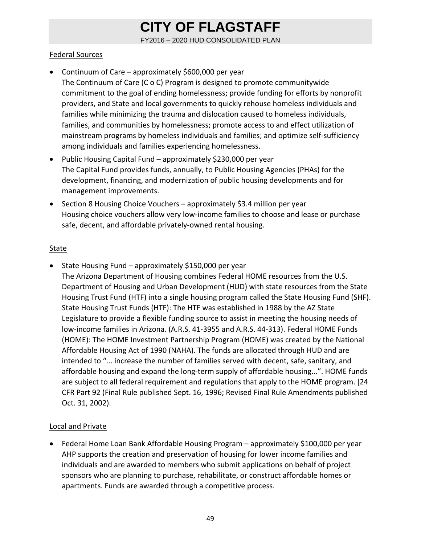FY2016 – 2020 HUD CONSOLIDATED PLAN

### Federal Sources

- Continuum of Care approximately \$600,000 per year The Continuum of Care (C o C) Program is designed to promote communitywide commitment to the goal of ending homelessness; provide funding for efforts by nonprofit providers, and State and local governments to quickly rehouse homeless individuals and families while minimizing the trauma and dislocation caused to homeless individuals, families, and communities by homelessness; promote access to and effect utilization of mainstream programs by homeless individuals and families; and optimize self‐sufficiency among individuals and families experiencing homelessness.
- Public Housing Capital Fund approximately \$230,000 per year The Capital Fund provides funds, annually, to Public Housing Agencies (PHAs) for the development, financing, and modernization of public housing developments and for management improvements.
- Section 8 Housing Choice Vouchers approximately \$3.4 million per year Housing choice vouchers allow very low‐income families to choose and lease or purchase safe, decent, and affordable privately‐owned rental housing.

### **State**

• State Housing Fund – approximately \$150,000 per year The Arizona Department of Housing combines Federal HOME resources from the U.S. Department of Housing and Urban Development (HUD) with state resources from the State Housing Trust Fund (HTF) into a single housing program called the State Housing Fund (SHF). State Housing Trust Funds (HTF): The HTF was established in 1988 by the AZ State Legislature to provide a flexible funding source to assist in meeting the housing needs of low‐income families in Arizona. (A.R.S. 41‐3955 and A.R.S. 44‐313). Federal HOME Funds (HOME): The HOME Investment Partnership Program (HOME) was created by the National Affordable Housing Act of 1990 (NAHA). The funds are allocated through HUD and are intended to "... increase the number of families served with decent, safe, sanitary, and affordable housing and expand the long‐term supply of affordable housing...". HOME funds are subject to all federal requirement and regulations that apply to the HOME program. [24 CFR Part 92 (Final Rule published Sept. 16, 1996; Revised Final Rule Amendments published Oct. 31, 2002).

### Local and Private

 Federal Home Loan Bank Affordable Housing Program – approximately \$100,000 per year AHP supports the creation and preservation of housing for lower income families and individuals and are awarded to members who submit applications on behalf of project sponsors who are planning to purchase, rehabilitate, or construct affordable homes or apartments. Funds are awarded through a competitive process.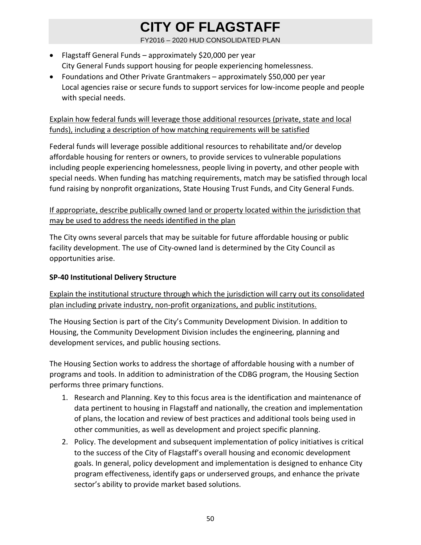FY2016 – 2020 HUD CONSOLIDATED PLAN

- Flagstaff General Funds approximately \$20,000 per year City General Funds support housing for people experiencing homelessness.
- Foundations and Other Private Grantmakers approximately \$50,000 per year Local agencies raise or secure funds to support services for low‐income people and people with special needs.

### Explain how federal funds will leverage those additional resources (private, state and local funds), including a description of how matching requirements will be satisfied

Federal funds will leverage possible additional resources to rehabilitate and/or develop affordable housing for renters or owners, to provide services to vulnerable populations including people experiencing homelessness, people living in poverty, and other people with special needs. When funding has matching requirements, match may be satisfied through local fund raising by nonprofit organizations, State Housing Trust Funds, and City General Funds.

### If appropriate, describe publically owned land or property located within the jurisdiction that may be used to address the needs identified in the plan

The City owns several parcels that may be suitable for future affordable housing or public facility development. The use of City‐owned land is determined by the City Council as opportunities arise.

### **SP‐40 Institutional Delivery Structure**

Explain the institutional structure through which the jurisdiction will carry out its consolidated plan including private industry, non‐profit organizations, and public institutions.

The Housing Section is part of the City's Community Development Division. In addition to Housing, the Community Development Division includes the engineering, planning and development services, and public housing sections.

The Housing Section works to address the shortage of affordable housing with a number of programs and tools. In addition to administration of the CDBG program, the Housing Section performs three primary functions.

- 1. Research and Planning. Key to this focus area is the identification and maintenance of data pertinent to housing in Flagstaff and nationally, the creation and implementation of plans, the location and review of best practices and additional tools being used in other communities, as well as development and project specific planning.
- 2. Policy. The development and subsequent implementation of policy initiatives is critical to the success of the City of Flagstaff's overall housing and economic development goals. In general, policy development and implementation is designed to enhance City program effectiveness, identify gaps or underserved groups, and enhance the private sector's ability to provide market based solutions.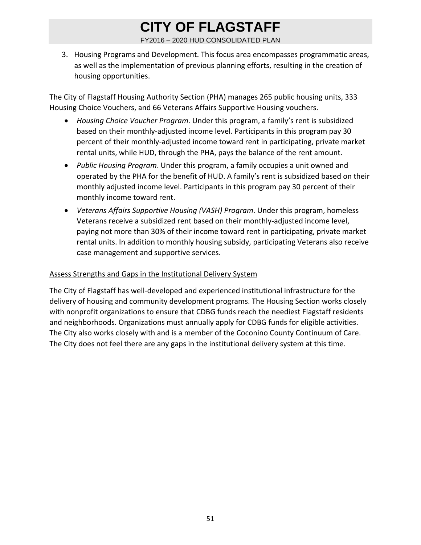FY2016 – 2020 HUD CONSOLIDATED PLAN

3. Housing Programs and Development. This focus area encompasses programmatic areas, as well as the implementation of previous planning efforts, resulting in the creation of housing opportunities.

The City of Flagstaff Housing Authority Section (PHA) manages 265 public housing units, 333 Housing Choice Vouchers, and 66 Veterans Affairs Supportive Housing vouchers.

- *Housing Choice Voucher Program*. Under this program, a family's rent is subsidized based on their monthly-adjusted income level. Participants in this program pay 30 percent of their monthly‐adjusted income toward rent in participating, private market rental units, while HUD, through the PHA, pays the balance of the rent amount.
- *Public Housing Program*. Under this program, a family occupies a unit owned and operated by the PHA for the benefit of HUD. A family's rent is subsidized based on their monthly adjusted income level. Participants in this program pay 30 percent of their monthly income toward rent.
- *Veterans Affairs Supportive Housing (VASH) Program*. Under this program, homeless Veterans receive a subsidized rent based on their monthly‐adjusted income level, paying not more than 30% of their income toward rent in participating, private market rental units. In addition to monthly housing subsidy, participating Veterans also receive case management and supportive services.

#### Assess Strengths and Gaps in the Institutional Delivery System

The City of Flagstaff has well‐developed and experienced institutional infrastructure for the delivery of housing and community development programs. The Housing Section works closely with nonprofit organizations to ensure that CDBG funds reach the neediest Flagstaff residents and neighborhoods. Organizations must annually apply for CDBG funds for eligible activities. The City also works closely with and is a member of the Coconino County Continuum of Care. The City does not feel there are any gaps in the institutional delivery system at this time.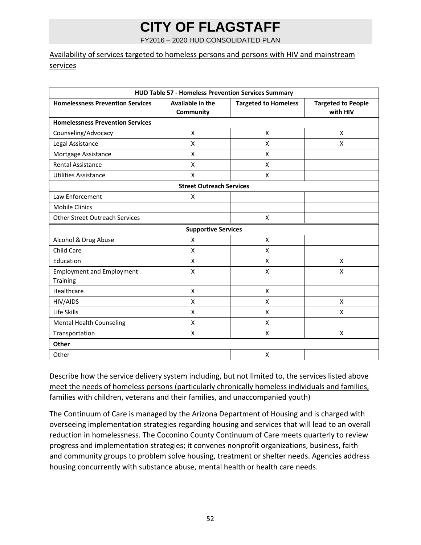FY2016 – 2020 HUD CONSOLIDATED PLAN

### Availability of services targeted to homeless persons and persons with HIV and mainstream services

| HUD Table 57 - Homeless Prevention Services Summary |                                 |                             |                                       |  |
|-----------------------------------------------------|---------------------------------|-----------------------------|---------------------------------------|--|
| <b>Homelessness Prevention Services</b>             | Available in the<br>Community   | <b>Targeted to Homeless</b> | <b>Targeted to People</b><br>with HIV |  |
| <b>Homelessness Prevention Services</b>             |                                 |                             |                                       |  |
| Counseling/Advocacy                                 | X                               | X                           | X                                     |  |
| Legal Assistance                                    | X                               | X                           | X                                     |  |
| Mortgage Assistance                                 | X                               | X                           |                                       |  |
| <b>Rental Assistance</b>                            | X                               | X                           |                                       |  |
| <b>Utilities Assistance</b>                         | X                               | X                           |                                       |  |
|                                                     | <b>Street Outreach Services</b> |                             |                                       |  |
| Law Enforcement                                     | X                               |                             |                                       |  |
| <b>Mobile Clinics</b>                               |                                 |                             |                                       |  |
| <b>Other Street Outreach Services</b>               |                                 | X                           |                                       |  |
|                                                     | <b>Supportive Services</b>      |                             |                                       |  |
| Alcohol & Drug Abuse                                | $\pmb{\mathsf{X}}$              | X                           |                                       |  |
| Child Care                                          | X                               | X                           |                                       |  |
| Education                                           | X                               | X                           | X                                     |  |
| <b>Employment and Employment</b>                    | X                               | X                           | Χ                                     |  |
| Training                                            |                                 |                             |                                       |  |
| Healthcare                                          | $\pmb{\mathsf{X}}$              | $\pmb{\mathsf{X}}$          |                                       |  |
| HIV/AIDS                                            | X                               | X                           | X                                     |  |
| Life Skills                                         | X                               | X                           | X                                     |  |
| <b>Mental Health Counseling</b>                     | $\pmb{\mathsf{X}}$              | X                           |                                       |  |
| Transportation                                      | X                               | X                           | Χ                                     |  |
| Other                                               |                                 |                             |                                       |  |
| Other                                               |                                 | Χ                           |                                       |  |

Describe how the service delivery system including, but not limited to, the services listed above meet the needs of homeless persons (particularly chronically homeless individuals and families, families with children, veterans and their families, and unaccompanied youth)

The Continuum of Care is managed by the Arizona Department of Housing and is charged with overseeing implementation strategies regarding housing and services that will lead to an overall reduction in homelessness. The Coconino County Continuum of Care meets quarterly to review progress and implementation strategies; it convenes nonprofit organizations, business, faith and community groups to problem solve housing, treatment or shelter needs. Agencies address housing concurrently with substance abuse, mental health or health care needs.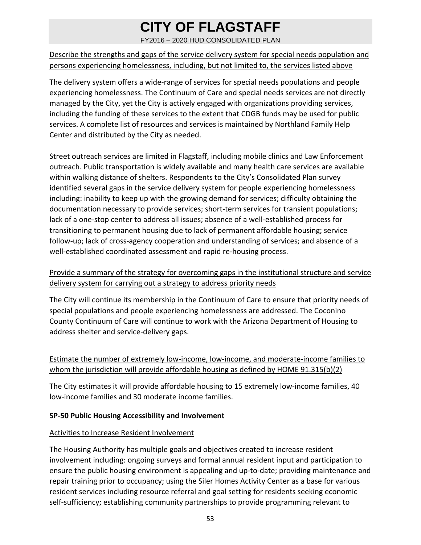FY2016 – 2020 HUD CONSOLIDATED PLAN

Describe the strengths and gaps of the service delivery system for special needs population and persons experiencing homelessness, including, but not limited to, the services listed above

The delivery system offers a wide‐range of services for special needs populations and people experiencing homelessness. The Continuum of Care and special needs services are not directly managed by the City, yet the City is actively engaged with organizations providing services, including the funding of these services to the extent that CDGB funds may be used for public services. A complete list of resources and services is maintained by Northland Family Help Center and distributed by the City as needed.

Street outreach services are limited in Flagstaff, including mobile clinics and Law Enforcement outreach. Public transportation is widely available and many health care services are available within walking distance of shelters. Respondents to the City's Consolidated Plan survey identified several gaps in the service delivery system for people experiencing homelessness including: inability to keep up with the growing demand for services; difficulty obtaining the documentation necessary to provide services; short‐term services for transient populations; lack of a one‐stop center to address all issues; absence of a well‐established process for transitioning to permanent housing due to lack of permanent affordable housing; service follow-up; lack of cross-agency cooperation and understanding of services; and absence of a well-established coordinated assessment and rapid re-housing process.

### Provide a summary of the strategy for overcoming gaps in the institutional structure and service delivery system for carrying out a strategy to address priority needs

The City will continue its membership in the Continuum of Care to ensure that priority needs of special populations and people experiencing homelessness are addressed. The Coconino County Continuum of Care will continue to work with the Arizona Department of Housing to address shelter and service‐delivery gaps.

### Estimate the number of extremely low-income, low-income, and moderate-income families to whom the jurisdiction will provide affordable housing as defined by HOME 91.315(b)(2)

The City estimates it will provide affordable housing to 15 extremely low‐income families, 40 low‐income families and 30 moderate income families.

### **SP‐50 Public Housing Accessibility and Involvement**

### Activities to Increase Resident Involvement

The Housing Authority has multiple goals and objectives created to increase resident involvement including: ongoing surveys and formal annual resident input and participation to ensure the public housing environment is appealing and up-to-date; providing maintenance and repair training prior to occupancy; using the Siler Homes Activity Center as a base for various resident services including resource referral and goal setting for residents seeking economic self-sufficiency; establishing community partnerships to provide programming relevant to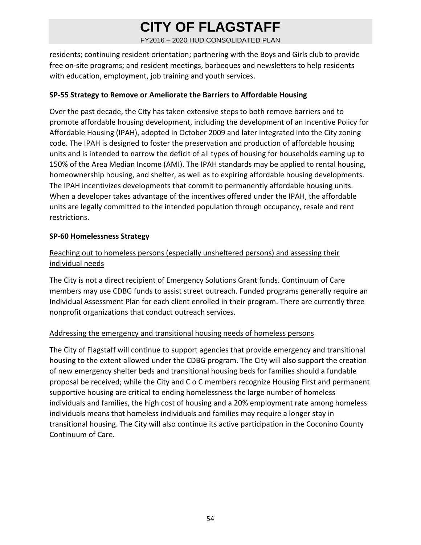FY2016 – 2020 HUD CONSOLIDATED PLAN

residents; continuing resident orientation; partnering with the Boys and Girls club to provide free on-site programs; and resident meetings, barbeques and newsletters to help residents with education, employment, job training and youth services.

### **SP‐55 Strategy to Remove or Ameliorate the Barriers to Affordable Housing**

Over the past decade, the City has taken extensive steps to both remove barriers and to promote affordable housing development, including the development of an Incentive Policy for Affordable Housing (IPAH), adopted in October 2009 and later integrated into the City zoning code. The IPAH is designed to foster the preservation and production of affordable housing units and is intended to narrow the deficit of all types of housing for households earning up to 150% of the Area Median Income (AMI). The IPAH standards may be applied to rental housing, homeownership housing, and shelter, as well as to expiring affordable housing developments. The IPAH incentivizes developments that commit to permanently affordable housing units. When a developer takes advantage of the incentives offered under the IPAH, the affordable units are legally committed to the intended population through occupancy, resale and rent restrictions.

### **SP‐60 Homelessness Strategy**

### Reaching out to homeless persons (especially unsheltered persons) and assessing their individual needs

The City is not a direct recipient of Emergency Solutions Grant funds. Continuum of Care members may use CDBG funds to assist street outreach. Funded programs generally require an Individual Assessment Plan for each client enrolled in their program. There are currently three nonprofit organizations that conduct outreach services.

### Addressing the emergency and transitional housing needs of homeless persons

The City of Flagstaff will continue to support agencies that provide emergency and transitional housing to the extent allowed under the CDBG program. The City will also support the creation of new emergency shelter beds and transitional housing beds for families should a fundable proposal be received; while the City and C o C members recognize Housing First and permanent supportive housing are critical to ending homelessness the large number of homeless individuals and families, the high cost of housing and a 20% employment rate among homeless individuals means that homeless individuals and families may require a longer stay in transitional housing. The City will also continue its active participation in the Coconino County Continuum of Care.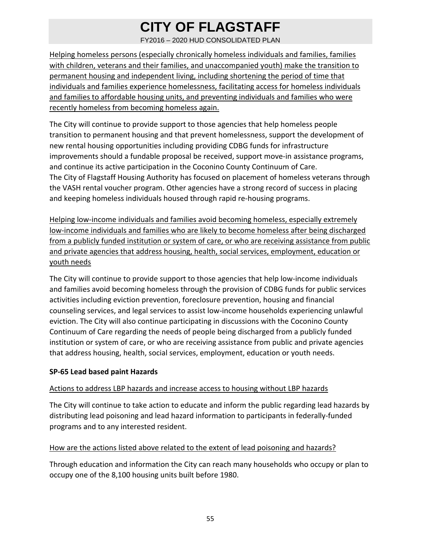FY2016 – 2020 HUD CONSOLIDATED PLAN

Helping homeless persons (especially chronically homeless individuals and families, families with children, veterans and their families, and unaccompanied youth) make the transition to permanent housing and independent living, including shortening the period of time that individuals and families experience homelessness, facilitating access for homeless individuals and families to affordable housing units, and preventing individuals and families who were recently homeless from becoming homeless again.

The City will continue to provide support to those agencies that help homeless people transition to permanent housing and that prevent homelessness, support the development of new rental housing opportunities including providing CDBG funds for infrastructure improvements should a fundable proposal be received, support move-in assistance programs, and continue its active participation in the Coconino County Continuum of Care. The City of Flagstaff Housing Authority has focused on placement of homeless veterans through the VASH rental voucher program. Other agencies have a strong record of success in placing and keeping homeless individuals housed through rapid re‐housing programs.

Helping low‐income individuals and families avoid becoming homeless, especially extremely low‐income individuals and families who are likely to become homeless after being discharged from a publicly funded institution or system of care, or who are receiving assistance from public and private agencies that address housing, health, social services, employment, education or youth needs

The City will continue to provide support to those agencies that help low-income individuals and families avoid becoming homeless through the provision of CDBG funds for public services activities including eviction prevention, foreclosure prevention, housing and financial counseling services, and legal services to assist low‐income households experiencing unlawful eviction. The City will also continue participating in discussions with the Coconino County Continuum of Care regarding the needs of people being discharged from a publicly funded institution or system of care, or who are receiving assistance from public and private agencies that address housing, health, social services, employment, education or youth needs.

### **SP‐65 Lead based paint Hazards**

#### Actions to address LBP hazards and increase access to housing without LBP hazards

The City will continue to take action to educate and inform the public regarding lead hazards by distributing lead poisoning and lead hazard information to participants in federally‐funded programs and to any interested resident.

### How are the actions listed above related to the extent of lead poisoning and hazards?

Through education and information the City can reach many households who occupy or plan to occupy one of the 8,100 housing units built before 1980.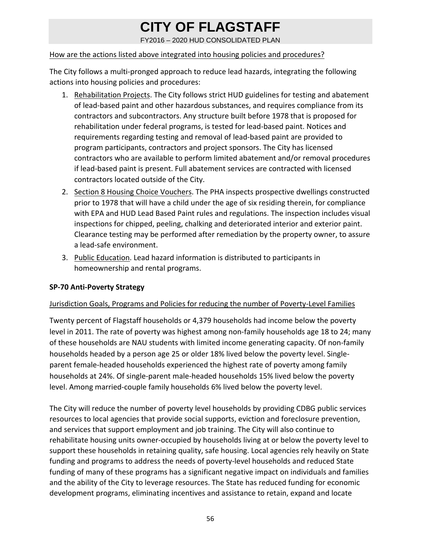FY2016 – 2020 HUD CONSOLIDATED PLAN

### How are the actions listed above integrated into housing policies and procedures?

The City follows a multi-pronged approach to reduce lead hazards, integrating the following actions into housing policies and procedures:

- 1. Rehabilitation Projects. The City follows strict HUD guidelines for testing and abatement of lead‐based paint and other hazardous substances, and requires compliance from its contractors and subcontractors. Any structure built before 1978 that is proposed for rehabilitation under federal programs, is tested for lead‐based paint. Notices and requirements regarding testing and removal of lead‐based paint are provided to program participants, contractors and project sponsors. The City has licensed contractors who are available to perform limited abatement and/or removal procedures if lead‐based paint is present. Full abatement services are contracted with licensed contractors located outside of the City.
- 2. Section 8 Housing Choice Vouchers. The PHA inspects prospective dwellings constructed prior to 1978 that will have a child under the age of six residing therein, for compliance with EPA and HUD Lead Based Paint rules and regulations. The inspection includes visual inspections for chipped, peeling, chalking and deteriorated interior and exterior paint. Clearance testing may be performed after remediation by the property owner, to assure a lead‐safe environment.
- 3. Public Education. Lead hazard information is distributed to participants in homeownership and rental programs.

### **SP‐70 Anti‐Poverty Strategy**

### Jurisdiction Goals, Programs and Policies for reducing the number of Poverty‐Level Families

Twenty percent of Flagstaff households or 4,379 households had income below the poverty level in 2011. The rate of poverty was highest among non‐family households age 18 to 24; many of these households are NAU students with limited income generating capacity. Of non‐family households headed by a person age 25 or older 18% lived below the poverty level. Single‐ parent female‐headed households experienced the highest rate of poverty among family households at 24%. Of single‐parent male‐headed households 15% lived below the poverty level. Among married‐couple family households 6% lived below the poverty level.

The City will reduce the number of poverty level households by providing CDBG public services resources to local agencies that provide social supports, eviction and foreclosure prevention, and services that support employment and job training. The City will also continue to rehabilitate housing units owner‐occupied by households living at or below the poverty level to support these households in retaining quality, safe housing. Local agencies rely heavily on State funding and programs to address the needs of poverty‐level households and reduced State funding of many of these programs has a significant negative impact on individuals and families and the ability of the City to leverage resources. The State has reduced funding for economic development programs, eliminating incentives and assistance to retain, expand and locate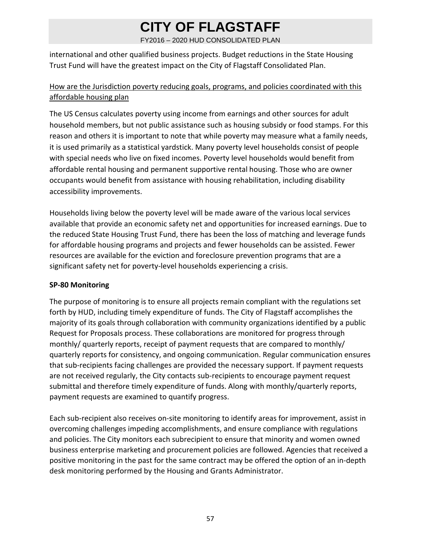FY2016 – 2020 HUD CONSOLIDATED PLAN

international and other qualified business projects. Budget reductions in the State Housing Trust Fund will have the greatest impact on the City of Flagstaff Consolidated Plan.

### How are the Jurisdiction poverty reducing goals, programs, and policies coordinated with this affordable housing plan

The US Census calculates poverty using income from earnings and other sources for adult household members, but not public assistance such as housing subsidy or food stamps. For this reason and others it is important to note that while poverty may measure what a family needs, it is used primarily as a statistical yardstick. Many poverty level households consist of people with special needs who live on fixed incomes. Poverty level households would benefit from affordable rental housing and permanent supportive rental housing. Those who are owner occupants would benefit from assistance with housing rehabilitation, including disability accessibility improvements.

Households living below the poverty level will be made aware of the various local services available that provide an economic safety net and opportunities for increased earnings. Due to the reduced State Housing Trust Fund, there has been the loss of matching and leverage funds for affordable housing programs and projects and fewer households can be assisted. Fewer resources are available for the eviction and foreclosure prevention programs that are a significant safety net for poverty‐level households experiencing a crisis.

### **SP‐80 Monitoring**

The purpose of monitoring is to ensure all projects remain compliant with the regulations set forth by HUD, including timely expenditure of funds. The City of Flagstaff accomplishes the majority of its goals through collaboration with community organizations identified by a public Request for Proposals process. These collaborations are monitored for progress through monthly/ quarterly reports, receipt of payment requests that are compared to monthly/ quarterly reports for consistency, and ongoing communication. Regular communication ensures that sub‐recipients facing challenges are provided the necessary support. If payment requests are not received regularly, the City contacts sub‐recipients to encourage payment request submittal and therefore timely expenditure of funds. Along with monthly/quarterly reports, payment requests are examined to quantify progress.

Each sub‐recipient also receives on‐site monitoring to identify areas for improvement, assist in overcoming challenges impeding accomplishments, and ensure compliance with regulations and policies. The City monitors each subrecipient to ensure that minority and women owned business enterprise marketing and procurement policies are followed. Agencies that received a positive monitoring in the past for the same contract may be offered the option of an in‐depth desk monitoring performed by the Housing and Grants Administrator.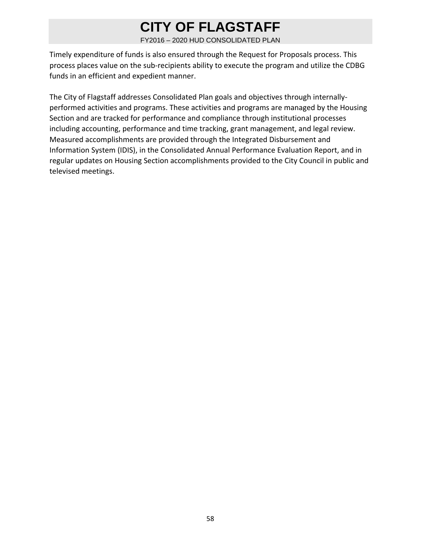FY2016 – 2020 HUD CONSOLIDATED PLAN

Timely expenditure of funds is also ensured through the Request for Proposals process. This process places value on the sub‐recipients ability to execute the program and utilize the CDBG funds in an efficient and expedient manner.

The City of Flagstaff addresses Consolidated Plan goals and objectives through internally‐ performed activities and programs. These activities and programs are managed by the Housing Section and are tracked for performance and compliance through institutional processes including accounting, performance and time tracking, grant management, and legal review. Measured accomplishments are provided through the Integrated Disbursement and Information System (IDIS), in the Consolidated Annual Performance Evaluation Report, and in regular updates on Housing Section accomplishments provided to the City Council in public and televised meetings.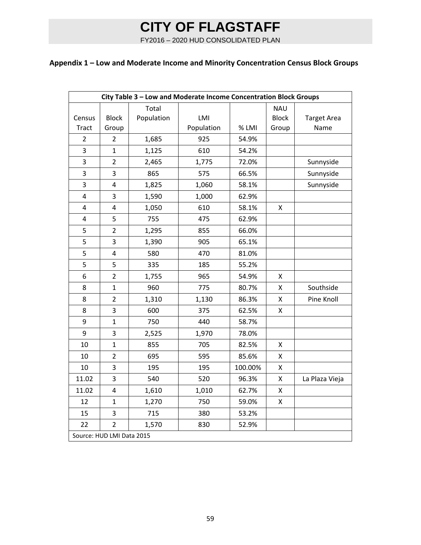FY2016 – 2020 HUD CONSOLIDATED PLAN

### **Appendix 1 – Low and Moderate Income and Minority Concentration Census Block Groups**

| City Table 3 - Low and Moderate Income Concentration Block Groups |                         |            |            |         |              |                    |
|-------------------------------------------------------------------|-------------------------|------------|------------|---------|--------------|--------------------|
|                                                                   |                         | Total      |            |         | <b>NAU</b>   |                    |
| Census                                                            | <b>Block</b>            | Population | LMI        |         | <b>Block</b> | <b>Target Area</b> |
| <b>Tract</b>                                                      | Group                   |            | Population | % LMI   | Group        | Name               |
| $\overline{2}$                                                    | $\overline{2}$          | 1,685      | 925        | 54.9%   |              |                    |
| 3                                                                 | $\overline{1}$          | 1,125      | 610        | 54.2%   |              |                    |
| 3                                                                 | $\overline{2}$          | 2,465      | 1,775      | 72.0%   |              | Sunnyside          |
| 3                                                                 | 3                       | 865        | 575        | 66.5%   |              | Sunnyside          |
| $\overline{3}$                                                    | $\overline{\mathbf{4}}$ | 1,825      | 1,060      | 58.1%   |              | Sunnyside          |
| 4                                                                 | 3                       | 1,590      | 1,000      | 62.9%   |              |                    |
| 4                                                                 | 4                       | 1,050      | 610        | 58.1%   | Χ            |                    |
| 4                                                                 | 5                       | 755        | 475        | 62.9%   |              |                    |
| 5                                                                 | $\overline{2}$          | 1,295      | 855        | 66.0%   |              |                    |
| 5                                                                 | 3                       | 1,390      | 905        | 65.1%   |              |                    |
| 5                                                                 | $\overline{4}$          | 580        | 470        | 81.0%   |              |                    |
| 5                                                                 | 5                       | 335        | 185        | 55.2%   |              |                    |
| 6                                                                 | $\overline{2}$          | 1,755      | 965        | 54.9%   | X            |                    |
| 8                                                                 | $\overline{1}$          | 960        | 775        | 80.7%   | Χ            | Southside          |
| 8                                                                 | $\overline{2}$          | 1,310      | 1,130      | 86.3%   | Χ            | Pine Knoll         |
| 8                                                                 | 3                       | 600        | 375        | 62.5%   | Χ            |                    |
| 9                                                                 | $\overline{1}$          | 750        | 440        | 58.7%   |              |                    |
| 9                                                                 | 3                       | 2,525      | 1,970      | 78.0%   |              |                    |
| 10                                                                | $\mathbf 1$             | 855        | 705        | 82.5%   | Χ            |                    |
| 10                                                                | $\overline{2}$          | 695        | 595        | 85.6%   | X            |                    |
| 10                                                                | 3                       | 195        | 195        | 100.00% | X            |                    |
| 11.02                                                             | 3                       | 540        | 520        | 96.3%   | Χ            | La Plaza Vieja     |
| 11.02                                                             | $\overline{4}$          | 1,610      | 1,010      | 62.7%   | X            |                    |
| 12                                                                | $\mathbf 1$             | 1,270      | 750        | 59.0%   | Χ            |                    |
| 15                                                                | 3                       | 715        | 380        | 53.2%   |              |                    |
| 22                                                                | $\overline{2}$          | 1,570      | 830        | 52.9%   |              |                    |
| Source: HUD LMI Data 2015                                         |                         |            |            |         |              |                    |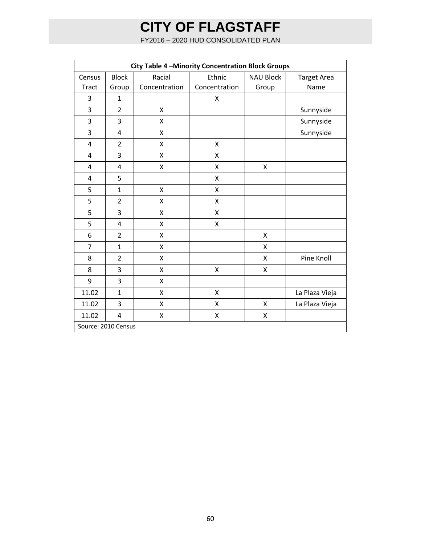FY2016 – 2020 HUD CONSOLIDATED PLAN

| City Table 4 - Minority Concentration Block Groups |                     |               |               |                  |                    |
|----------------------------------------------------|---------------------|---------------|---------------|------------------|--------------------|
| Census                                             | <b>Block</b>        | Racial        | Ethnic        | <b>NAU Block</b> | <b>Target Area</b> |
| <b>Tract</b>                                       | Group               | Concentration | Concentration | Group            | Name               |
| $\overline{3}$                                     | $\mathbf{1}$        |               | X             |                  |                    |
| 3                                                  | $\overline{2}$      | Χ             |               |                  | Sunnyside          |
| 3                                                  | 3                   | X             |               |                  | Sunnyside          |
| 3                                                  | 4                   | X             |               |                  | Sunnyside          |
| $\overline{4}$                                     | $\overline{2}$      | X             | Χ             |                  |                    |
| $\overline{4}$                                     | 3                   | Χ             | X             |                  |                    |
| $\overline{4}$                                     | $\overline{4}$      | Χ             | X             | X                |                    |
| $\overline{4}$                                     | 5                   |               | Χ             |                  |                    |
| 5                                                  | $\mathbf{1}$        | X             | Χ             |                  |                    |
| 5                                                  | $\overline{2}$      | X             | Χ             |                  |                    |
| 5                                                  | 3                   | X             | X             |                  |                    |
| 5                                                  | $\overline{4}$      | X             | Χ             |                  |                    |
| 6                                                  | $\overline{2}$      | Χ             |               | Χ                |                    |
| $\overline{7}$                                     | $\mathbf{1}$        | Χ             |               | Χ                |                    |
| 8                                                  | $\overline{2}$      | Χ             |               | X                | Pine Knoll         |
| 8                                                  | 3                   | X             | X             | X                |                    |
| 9                                                  | 3                   | Χ             |               |                  |                    |
| 11.02                                              | $\mathbf{1}$        | Χ             | Χ             |                  | La Plaza Vieja     |
| 11.02                                              | 3                   | Χ             | Χ             | Χ                | La Plaza Vieja     |
| 11.02                                              | $\overline{4}$      | Χ             | X             | Χ                |                    |
|                                                    | Source: 2010 Census |               |               |                  |                    |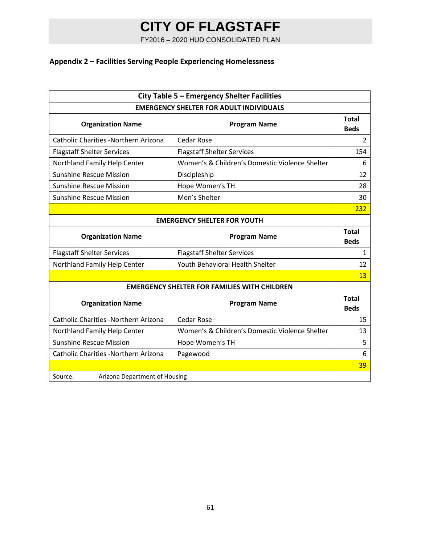FY2016 – 2020 HUD CONSOLIDATED PLAN

### **Appendix 2 – Facilities Serving People Experiencing Homelessness**

| City Table 5 - Emergency Shelter Facilities    |                                      |                                                     |                             |  |
|------------------------------------------------|--------------------------------------|-----------------------------------------------------|-----------------------------|--|
| <b>EMERGENCY SHELTER FOR ADULT INDIVIDUALS</b> |                                      |                                                     |                             |  |
|                                                | <b>Organization Name</b>             | <b>Program Name</b>                                 | <b>Total</b><br><b>Beds</b> |  |
|                                                | Catholic Charities -Northern Arizona | <b>Cedar Rose</b>                                   | 2                           |  |
| <b>Flagstaff Shelter Services</b>              |                                      | <b>Flagstaff Shelter Services</b>                   | 154                         |  |
|                                                | Northland Family Help Center         | Women's & Children's Domestic Violence Shelter      | 6                           |  |
| <b>Sunshine Rescue Mission</b>                 |                                      | Discipleship                                        | 12                          |  |
| <b>Sunshine Rescue Mission</b>                 |                                      | Hope Women's TH                                     | 28                          |  |
| <b>Sunshine Rescue Mission</b>                 |                                      | Men's Shelter                                       | 30                          |  |
|                                                |                                      |                                                     | 232                         |  |
|                                                |                                      | <b>EMERGENCY SHELTER FOR YOUTH</b>                  |                             |  |
|                                                | <b>Organization Name</b>             | <b>Program Name</b>                                 | <b>Total</b><br><b>Beds</b> |  |
| <b>Flagstaff Shelter Services</b>              |                                      | <b>Flagstaff Shelter Services</b>                   | 1                           |  |
| Northland Family Help Center                   |                                      | Youth Behavioral Health Shelter                     | 12                          |  |
|                                                |                                      |                                                     | 13                          |  |
|                                                |                                      | <b>EMERGENCY SHELTER FOR FAMILIES WITH CHILDREN</b> |                             |  |
| <b>Organization Name</b>                       |                                      | <b>Program Name</b>                                 | Total<br><b>Beds</b>        |  |
|                                                | Catholic Charities -Northern Arizona | <b>Cedar Rose</b>                                   | 15                          |  |
|                                                | Northland Family Help Center         | Women's & Children's Domestic Violence Shelter      | 13                          |  |
| <b>Sunshine Rescue Mission</b>                 |                                      | Hope Women's TH                                     | 5                           |  |
| Catholic Charities -Northern Arizona           |                                      | Pagewood                                            | 6                           |  |
|                                                |                                      |                                                     | 39                          |  |
| Source:                                        | Arizona Department of Housing        |                                                     |                             |  |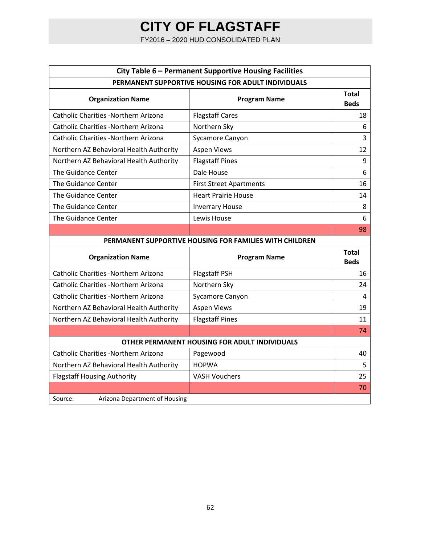FY2016 – 2020 HUD CONSOLIDATED PLAN

| City Table 6 - Permanent Supportive Housing Facilities  |                                         |                                               |                             |  |
|---------------------------------------------------------|-----------------------------------------|-----------------------------------------------|-----------------------------|--|
| PERMANENT SUPPORTIVE HOUSING FOR ADULT INDIVIDUALS      |                                         |                                               |                             |  |
|                                                         | <b>Organization Name</b>                | <b>Program Name</b>                           | Total<br><b>Beds</b>        |  |
|                                                         | Catholic Charities -Northern Arizona    | <b>Flagstaff Cares</b>                        | 18                          |  |
|                                                         | Catholic Charities -Northern Arizona    | Northern Sky                                  | 6                           |  |
|                                                         | Catholic Charities -Northern Arizona    | Sycamore Canyon                               | 3                           |  |
|                                                         | Northern AZ Behavioral Health Authority | <b>Aspen Views</b>                            | 12                          |  |
|                                                         | Northern AZ Behavioral Health Authority | <b>Flagstaff Pines</b>                        | 9                           |  |
| The Guidance Center                                     |                                         | Dale House                                    | 6                           |  |
| The Guidance Center                                     |                                         | <b>First Street Apartments</b>                | 16                          |  |
| The Guidance Center                                     |                                         | <b>Heart Prairie House</b>                    | 14                          |  |
| The Guidance Center                                     |                                         | <b>Inverrary House</b>                        | 8                           |  |
| The Guidance Center                                     |                                         | Lewis House                                   | 6                           |  |
|                                                         |                                         |                                               | 98                          |  |
| PERMANENT SUPPORTIVE HOUSING FOR FAMILIES WITH CHILDREN |                                         |                                               |                             |  |
|                                                         |                                         |                                               |                             |  |
|                                                         | <b>Organization Name</b>                | <b>Program Name</b>                           | <b>Total</b><br><b>Beds</b> |  |
|                                                         | Catholic Charities -Northern Arizona    | <b>Flagstaff PSH</b>                          | 16                          |  |
|                                                         | Catholic Charities -Northern Arizona    | Northern Sky                                  | 24                          |  |
|                                                         | Catholic Charities -Northern Arizona    | Sycamore Canyon                               | 4                           |  |
|                                                         | Northern AZ Behavioral Health Authority | <b>Aspen Views</b>                            | 19                          |  |
|                                                         | Northern AZ Behavioral Health Authority | <b>Flagstaff Pines</b>                        | 11                          |  |
|                                                         |                                         |                                               | 74                          |  |
|                                                         |                                         | OTHER PERMANENT HOUSING FOR ADULT INDIVIDUALS |                             |  |
|                                                         | Catholic Charities -Northern Arizona    | Pagewood                                      | 40                          |  |
|                                                         | Northern AZ Behavioral Health Authority | <b>HOPWA</b>                                  | 5                           |  |
|                                                         | <b>Flagstaff Housing Authority</b>      | <b>VASH Vouchers</b>                          | 25                          |  |
|                                                         |                                         |                                               | 70                          |  |